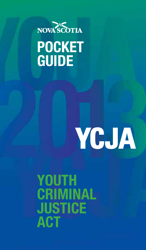

# **POCKET GUIDE**

# **YCJA**

## **YOUTH CRIMINAL JUSTICE ACT**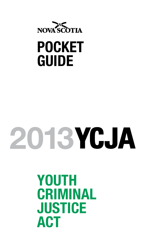

# **POCKET GUIDE**

# **2013**

## **YOUTH CRIMINAL JUSTICE ACT**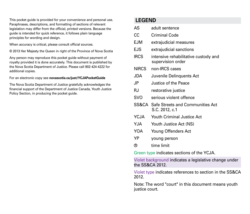This pocket guide is provided for your convenience and personal use. Paraphrases, descriptions, and formatting of sections of relevant legislation may differ from the official, printed versions. Because the guide is intended for quick reference, it follows plain language principles for wording and design.

When accuracy is critical, please consult official sources.

© 2013 Her Majesty the Queen in right of the Province of Nova Scotia

Any person may reproduce this pocket guide without payment of royalty provided it is done accurately. This document is published by the Nova Scotia Department of Justice. Please call 902-424-4222 for additional copies.

For an electronic copy see **novascotia.ca/just/YCJAPocketGuide**

The Nova Scotia Department of Justice gratefully acknowledges the financial support of the Department of Justice Canada, Youth Justice Policy Section, in producing the pocket guide.

#### **LEGEND**

| AS                                                     | adult sentence                                            |  |
|--------------------------------------------------------|-----------------------------------------------------------|--|
| СC                                                     | Criminal Code                                             |  |
| <b>EJM</b>                                             | extrajudicial measures                                    |  |
| <b>EJS</b>                                             | extrajudicial sanctions                                   |  |
| <b>IRCS</b>                                            | intensive rehabilitative custody and<br>supervision order |  |
| NIRCS                                                  | non-IRCS cases                                            |  |
| JDA                                                    | Juvenile Delinquents Act                                  |  |
| JP.                                                    | Justice of the Peace                                      |  |
| RJ.                                                    | restorative justice                                       |  |
| svo                                                    | serious violent offence                                   |  |
| SS&CA                                                  | Safe Streets and Communities Act<br>S.C. 2012, c.1        |  |
| YCJA                                                   | Youth Criminal Justice Act                                |  |
| YJA                                                    | Youth Justice Act (NS)                                    |  |
| <b>YOA</b>                                             | Young Offenders Act                                       |  |
| YP                                                     | young person                                              |  |
| ℗                                                      | time limit                                                |  |
| Green type indicates sections of the YCJA.             |                                                           |  |
| Violet background indicates a legislative change under |                                                           |  |

the SS&CA 2012.

Violet type indicates references to section in the SS&CA 2012.

Note: The word "court" in this document means youth justice court.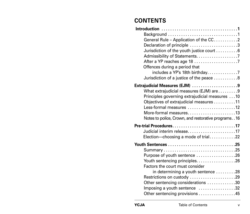## **CONTENTS**

| General Rule - Application of the CC2                          |  |
|----------------------------------------------------------------|--|
| Declaration of principle 3                                     |  |
| Jurisdiction of the youth justice court 6                      |  |
|                                                                |  |
|                                                                |  |
| Offences during a period that                                  |  |
| includes a YP's 18th birthday7                                 |  |
| Jurisdiction of a justice of the peace 8                       |  |
| Extrajudicial Measures (EJM) 9                                 |  |
| What extrajudicial measures (EJM) are 9                        |  |
| Principles governing extrajudicial measures 10                 |  |
| Objectives of extrajudicial measures 11                        |  |
| Less-formal measures 12                                        |  |
| More-formal measures13                                         |  |
| Notes to police, Crown, and restorative programs16             |  |
| Pre-trial Procedures17                                         |  |
| Judicial interim release17                                     |  |
| Election-choosing a mode of trial22                            |  |
|                                                                |  |
|                                                                |  |
| Purpose of youth sentence 26                                   |  |
| Youth sentencing principles26                                  |  |
| Factors the court must consider                                |  |
| in determining a youth sentence 28                             |  |
| Restrictions on custody 29                                     |  |
| Other sentencing considerations 30                             |  |
| Imposing a youth sentence 32<br>Other sentencing provisions 45 |  |
|                                                                |  |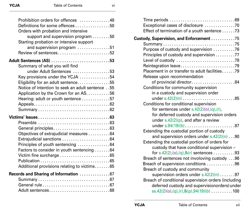| Prohibition orders for offences 48               |  |
|--------------------------------------------------|--|
| Definitions for some offences 50                 |  |
| Orders with probation and intensive              |  |
| support and supervision program 50               |  |
| Starting probation or intensive support          |  |
| and supervision program 51                       |  |
| Review of sentences52                            |  |
|                                                  |  |
| Adult Sentences (AS) 53                          |  |
| Summary of what you will find                    |  |
| under Adult Sentences 53                         |  |
| Key provisions under the YCJA $\ldots$ 54        |  |
| Eligibility for an adult sentence55              |  |
| Notice of intention to seek an adult sentence 55 |  |
| Application by the Crown for an AS56             |  |
| Hearing: adult or youth sentence 57              |  |
|                                                  |  |
|                                                  |  |
|                                                  |  |
|                                                  |  |
| General principles63                             |  |
| Objectives of extrajudicial measures 64          |  |
| Extrajudicial sanctions 64                       |  |
| Principles of youth sentencing 64                |  |
| Factors to consider in youth sentencing 64       |  |
| Victim fine surcharge 65                         |  |
|                                                  |  |
| Additional provisions relating to victims65      |  |
|                                                  |  |
| Records and Sharing of Information 67            |  |
|                                                  |  |
|                                                  |  |
|                                                  |  |

| Exceptional cases of disclosure 70                                                   |
|--------------------------------------------------------------------------------------|
| Effect of termination of a youth sentence 73                                         |
| Custody, Supervision, and Enforcement 75                                             |
|                                                                                      |
| Purpose of custody and supervision 76                                                |
| Principles of custody and supervision 77                                             |
| Level of custody 78                                                                  |
| Reintegration leave79                                                                |
| Placement in or transfer to adult facilities79                                       |
| Release upon recommendation                                                          |
| of provincial director84                                                             |
| Conditions for community supervision                                                 |
| in a custody and supervision order                                                   |
|                                                                                      |
| Conditions for conditional supervision                                               |
| for sentences under $s.42(2)(o),(q),(r)$ ,                                           |
| for deferred custody and supervision orders                                          |
| under $s.42(2)(p)$ , and after a review                                              |
| under s.94(19)(b)87                                                                  |
| Extending the custodial portion of custody                                           |
| and supervision orders under $s.42(2)(n) \ldots 90$                                  |
| Extending the custodial portion of orders for                                        |
| custody that have conditional supervision -<br>for s.42(2),(0),(q),&(r) sentences 93 |
| Breach of sentences not involoving custody 96                                        |
| Breach of supervision conditions 96                                                  |
| Breach of custody and community                                                      |
| supervision orders under $s.42(2)(n)$ 97                                             |
| Breach of conditional supervision orders (including                                  |
| deferred custody and supervisionorders) under                                        |
| $ss.42(2)(o),(q),(r),&(p),94(19)(b) \ldots$ 100                                      |
|                                                                                      |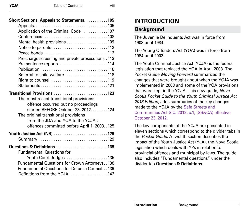<span id="page-5-0"></span>

| Short Sections: Appeals to Statements. 105                                                                                                                                                           |  |  |  |
|------------------------------------------------------------------------------------------------------------------------------------------------------------------------------------------------------|--|--|--|
| Appeals105                                                                                                                                                                                           |  |  |  |
| Application of the Criminal Code 107                                                                                                                                                                 |  |  |  |
| Conferences 108                                                                                                                                                                                      |  |  |  |
| Mental health provisions 109                                                                                                                                                                         |  |  |  |
| Notice to parents112                                                                                                                                                                                 |  |  |  |
| Peace bonds 112                                                                                                                                                                                      |  |  |  |
| Pre-charge screening and private prosecutions .113                                                                                                                                                   |  |  |  |
| Pre-sentence reports 114                                                                                                                                                                             |  |  |  |
| Publication 116                                                                                                                                                                                      |  |  |  |
| Referral to child welfare 118                                                                                                                                                                        |  |  |  |
| Right to counsel 119                                                                                                                                                                                 |  |  |  |
| Statements121                                                                                                                                                                                        |  |  |  |
| Transitional Provisions 123                                                                                                                                                                          |  |  |  |
| The most recent transitional provisions:<br>offence occurred but no proceedings<br>started BEFORE October 23, 2012. 124<br>The original transitional provisions<br>from the JDA and YOA to the YCJA: |  |  |  |
| offences committed before April 1, 2003. .125                                                                                                                                                        |  |  |  |
| Youth Justice Act (NS) 129                                                                                                                                                                           |  |  |  |
| Questions & Definitions 135                                                                                                                                                                          |  |  |  |
| <b>Fundamental Questions for</b>                                                                                                                                                                     |  |  |  |
| Youth Court Judges 135                                                                                                                                                                               |  |  |  |
| Fundamental Questions for Crown Attorneys. . 138                                                                                                                                                     |  |  |  |
| Fundamental Questions for Defense Council 139                                                                                                                                                        |  |  |  |
| Definitions from the YCJA 142                                                                                                                                                                        |  |  |  |

#### **INTRODUCTION**

#### **Background**

The Juvenile Delinquents Act was in force from 1908 until 1984.

The Young Offenders Act (YOA) was in force from 1984 until 2003.

The Youth Criminal Justice Act (YCJA) is the federal legislation that replaced the YOA in April 2003. The Pocket Guide *Moving Forward* summarized the changes that were brought about when the YCJA was implemented in 2003 and some of the YOA provisions that were kept in the YCJA. This new guide, *Nova Scotia Pocket Guide to the Youth Criminal Justice Act 2013 Edition*, adds summaries of the key changes made to the YCJA by the Safe Streets and Communities Act S.C. 2012, c.1, (SS&CA) effective October 23, 2012.

The key components of the YCJA are presented in eleven sections which correspond to the divider tabs in the *Pocket Guide*. A twelfth section describes the impact of the Youth Justice Act (YJA), the Nova Scotia legislation which deals with YPs in relation to provincial offences and municipal by-laws. The guide also includes "Fundamental questions" under the divider tab **Questions & Definitions.**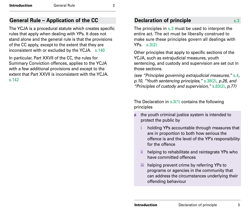#### <span id="page-6-0"></span>**General Rule – Application of the CC**

The YCJA is a procedural statute which creates specific rules that apply when dealing with YPs. It does not stand alone and the general rule is that the provisions of the CC apply, except to the extent that they are inconsistent with or excluded by the YCJA. s.140

In particular, Part XXVII of the CC, the rules for Summary Conviction offences, applies to the YCJA with a few additional provisions and except to the extent that Part XXVII is inconsistent with the YCJA. s.142

#### **Declaration of principle** s.3

The principles in s.3 must be used to interpret the entire act. The act must be liberally construed to make sure these principles govern all dealings with YPs. s.3(2)

Other principles that apply to specific sections of the YCJA, such as extrajudicial measures, youth sentencing, and custody and supervision are set out in those sections.

*(see "Principles governing extrajudicial measures,"* s.4*, p.10, "Youth sentencing principles,"* s.38(2)*, p.26, and "Principles of custody and supervision,"* s.83(2)*, p.77)*

The Declaration in  $s.3(1)$  contains the following principles

- **a** the youth criminal justice system is intended to protect the public by
	- holding YPs accountable through measures that are in proportion to both how serious the offence is and the level of the YP's responsibility for the offence
	- ii helping to rehabilitate and reintegrate YPs who have committed offences
	- iii helping prevent crime by referring YPs to programs or agencies in the community that can address the circumstances underlying their offending behaviour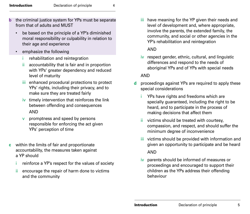- **b** the criminal justice system for YPs must be separate from that of adults and MUST
	- be based on the principle of a YP's diminished moral responsibility or culpability in relation to their age and experience
	- emphasize the following
		- rehabilitation and reintegration
		- ii accountability that is fair and in proportion with YPs' greater dependency and reduced level of maturity
		- iii enhanced procedural protections to protect YPs' rights, including their privacy, and to make sure they are treated fairly
		- $iv$  timely intervention that reinforces the link between offending and consequences AND
		- v promptness and speed by persons responsible for enforcing the act given YPs' perception of time
- **c** within the limits of fair and proportionate accountability, the measures taken against a YP should
	- reinforce a YP's respect for the values of society
	- ii encourage the repair of harm done to victims and the community

iii have meaning for the YP given their needs and level of development and, where appropriate, involve the parents, the extended family, the community, and social or other agencies in the YP's rehabilitation and reintegration

#### AND

iv respect gender, ethnic, cultural, and linguistic differences and respond to the needs of aboriginal YPs and of YPs with special needs

#### AND

- **d** proceedings against YPs are required to apply these special considerations
	- YPs have rights and freedoms which are specially guaranteed, including the right to be heard, and to participate in the process of making decisions that affect them
	- victims should be treated with courtesy, compassion, and respect, and should suffer the minimum degree of inconvenience
	- iii victims should be provided with information and given an opportunity to participate and be heard AND
	- iv parents should be informed of measures or proceedings and encouraged to support their children as the YPs address their offending behaviour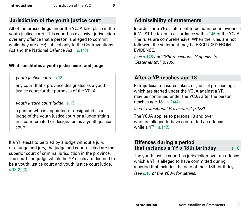#### <span id="page-8-0"></span>**Jurisdiction of the youth justice court**

All of the proceedings under the YCJA take place in the youth justice court. This court has exclusive jurisdiction over any offence that a person is alleged to commit while they are a YP, subject only to the Contraventions Act and the National Defence Act. s. 14(1)

#### **What constitutes a youth justice court and judge**

*youth justice court* s.13

any court that a province designates as a youth justice court for the purposes of the YCJA

*youth justice court judge* s.13

a person who is appointed or designated as a judge of the youth justice court or a judge sitting in a court created or designated as a youth justice court

If a YP elects to be tried by a judge without a jury, or a judge and jury, the judge and court elected are the superior court of criminal jurisdiction in the province. The court and judge which the YP elects are deemed to be a youth justice court and youth justice court judge. s.13(2),(3)

#### **Admissibility of statements**

In order for a YP's statement to be admitted in evidence it MUST be taken in accordance with s.146 of the YCJA. The rules are comprehensive. When the rules are not followed, the statement may be EXCLUDED FROM **EVIDENCE** 

*(see* s.146 *and "Short sections: 'Appeals' to 'Statements'," p.105)* 

#### **After a YP reaches age 18**

Extrajudicial measures taken, or judicial proceedings which are started under the YCJA against a YP, may be continued under the YCJA after the person reaches age 18. s.14(4)

*(see "Transitional Provisions," p.123)*

The YCJA applies to persons 18 and over who are alleged to have committed an offence while a YP. s.14(5)

#### **Offences during a period that includes a YP's 18th birthday** s.16

The youth justice court has jurisdiction over an offence which a YP is alleged to have committed during a period that includes the date of their 18th birthday. *(see* s.16 *of the YCJA for details)*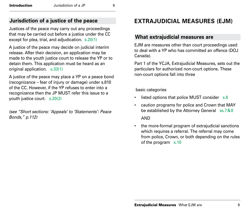#### <span id="page-9-0"></span>**Jurisdiction of a justice of the peace**

Justices of the peace may carry out any proceedings that may be carried out before a justice under the CC except for plea, trial, and adjudication. s.20(1)

A justice of the peace may decide on judicial interim release. After their decision, an application may be made to the youth justice court to release the YP or to detain them. This application must be heard as an original application. s.33(1)

A justice of the peace may place a YP on a peace bond (recognizance – fear of injury or damage) under s.810 of the CC. However, if the YP refuses to enter into a recognizance then the JP MUST refer this issue to a youth justice court. s.20(2)

*(see "Short sections: 'Appeals' to 'Statements': Peace Bonds," p.112)*

#### **EXTRAJUDICIAL MEASURES (EJM)**

#### **What extrajudicial measures are**

EJM are measures other than court proceedings used to deal with a YP who has committed an offence (DOJ Canada).

Part 1 of the YCJA, Extrajudicial Measures, sets out the particulars for authorized non-court options. These non-court options fall into three

basic categories

- listed options that police MUST consider s.6
- caution programs for police and Crown that MAY be established by the Attorney General ss.7&8 AND
- the more-formal program of extrajudicial sanctions which requires a referral. The referral may come from police, Crown, or both depending on the rules of the program s.10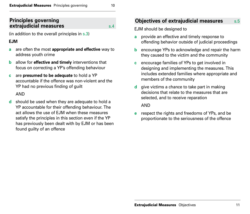#### <span id="page-10-0"></span>**Principles governing extrajudicial measures s.4**

(in addition to the overall principles in s.3)

#### **EJM**

- **a** are often the most **appropriate and effective** way to address youth crime
- **b** allow for **effective and timely** interventions that focus on correcting a YP's offending behaviour
- **c** are **presumed to be adequate** to hold a YP accountable if the offence was non-violent and the YP had no previous finding of guilt

AND

**d** should be used when they are adequate to hold a YP accountable for their offending behaviour. The act allows the use of EJM when these measures satisfy the principles in this section even if the YP has previously been dealt with by EJM or has been found guilty of an offence

#### **Objectives of extrajudicial measures** s.5

EJM should be designed to

- **a** provide an effective and timely response to offending behavior outside of judicial proceedings
- **b** encourage YPs to acknowledge and repair the harm they caused to the victim and the community
- **c** encourage families of YPs to get involved in designing and implementing the measures. This includes extended families where appropriate and members of the community
- **d** give victims a chance to take part in making decisions that relate to the measures that are selected, and to receive reparation

AND

**e** respect the rights and freedoms of YPs, and be proportionate to the seriousness of the offence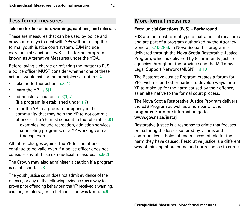#### <span id="page-11-0"></span>**Less-formal measures**

#### **Take no further action, warnings, cautions, and referrals**

These are measures that can be used by police and crown attorneys to deal with YPs without using the formal youth justice court system. EJM include extrajudicial sanctions. EJS is the formal program known as Alternative Measures under the YOA.

Before laying a charge or referring the matter to EJS, a police officer MUST consider whether one of these actions would satisfy the principles set out in s.4

- take no further action  $s.6(1)$
- warn the  $YP \simeq 6(1)$
- administer a caution s.6(1).7 (if a program is established under s.7)
- refer the YP to a program or agency in the community that may help the YP to not commit offences. The YP must consent to the referral s.6(1)
	- examples include recreation, addiction services, counseling programs, or a YP working with a tradesperson

All future charges against the YP for the offence continue to be valid even if a police officer does not consider any of these extrajudicial measures. s.6(2)

The Crown may also administer a caution if a program is established. s.8

The youth justice court does not admit evidence of the offence, or any of the following evidence, as a way to prove prior offending behaviour: the YP received a warning, caution, or referral, or no further action was taken. s.9

#### **More-formal measures**

#### **Extrajudicial Sanctions (EJS) – Background**

EJS are the most-formal type of extrajudicial measures and are part of a program authorized by the Attorney General, s.10(2)(a). In Nova Scotia this program is delivered through the Nova Scotia Restorative Justice Program, which is delivered by 8 community justice agencies throughout the province and the Mi'kmaw Legal Support Network (MLSN). s.10

The Restorative Justice Program creates a forum for YPs, victims, and other parties to develop ways for a YP to make up for the harm caused by their offence, as an alternative to the formal court process.

The Nova Scotia Restorative Justice Program delivers the EJS Program as well as a number of other programs. For more information go to **[www.gov.ns.ca/just.rj](http://www.gov.ns.ca/just.rj)**

Restorative justice is a response to crime that focuses on restoring the losses suffered by victims and communities. It holds offenders accountable for the harm they have caused. Restorative justice is a different way of thinking about crime and our response to crime.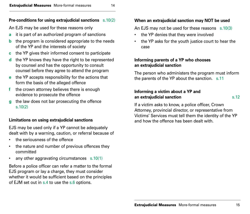#### **Pre-conditions for using extrajudicial sanctions** s.10(2)

An EJS may be used for these reasons only

- **a** it is part of an authorized program of sanctions
- **b** the program is considered appropriate to the needs of the YP and the interests of society
- **c** the YP gives their informed consent to participate
- **d** the YP knows they have the right to be represented by counsel and has the opportunity to consult counsel before they agree to attend the program
- **e** the YP accepts responsibility for the actions that form the basis of the alleged offence
- **f** the crown attorney believes there is enough evidence to prosecute the offence
- **g** the law does not bar prosecuting the offence s.10(2)

#### **Limitations on using extrajudicial sanctions**

EJS may be used only if a YP cannot be adequately dealt with by a warning, caution, or referral because of

- the seriousness of the offence
- the nature and number of previous offences they committed
- any other aggravating circumstances s.10(1)

Before a police officer can refer a matter to the formal EJS program or lay a charge, they must consider whether it would be sufficient based on the principles of EJM set out in s.4 to use the s.6 options.

#### **When an extrajudicial sanction may NOT be used**

An EJS may not be used for these reasons s.10(3)

- the YP denies that they were involved
- the YP asks for the youth justice court to hear the case

#### **Informing parents of a YP who chooses an extrajudicial sanction**

The person who administers the program must inform the parents of the YP about the sanction. s.11

#### **Informing a victim about a YP and an extrajudicial sanction** s.12

If a victim asks to know, a police officer, Crown Attorney, provincial director, or representative from Victims' Services must tell them the identity of the YP and how the offence has been dealt with.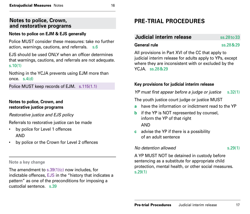#### <span id="page-13-0"></span>**Notes to police, Crown, and restorative programs**

#### **Notes to police on EJM & EJS generally**

Police MUST consider these measures: take no further action, warnings, cautions, and referrals. s.6

EJS should be used ONLY when an officer determines that warnings, cautions, and referrals are not adequate. s.10(1)

Nothing in the YCJA prevents using EJM more than once. s.4(d)

Police MUST keep records of EJM. s.115(1.1)

#### **Notes to police, Crown, and restorative justice programs**

*Restorative justice and EJS policy*

Referrals to restorative justice can be made

- by police for Level 1 offences AND
- by police or the Crown for Level 2 offences

#### **Note a key change**

The amendment to s.39(1)(c) now includes, for indictable offences, EJS in the "history that indicates a pattern" as one of the preconditions for imposing a custodial sentence. s.39

## **PRE-TRIAL PROCEDURES**

#### **Judicial interim release** ss.28to33

**General rule** ss.28&29

All provisions in Part XVI of the CC that apply to judicial interim release for adults apply to YPs, except where they are inconsistent with or excluded by the YCJA. ss.28&29

#### **Key provisions for judicial interim release**

*YP must first appear before a judge or justice* s.32(1)

The youth justice court judge or justice MUST

- **a** have the information or indictment read to the YP
- **b** if the YP is NOT represented by counsel, inform the YP of that right AND
- **c** advise the YP if there is a possibility of an adult sentence

#### *No detention allowed* s.29(1)

A YP MUST NOT be detained in custody before sentencing as a substitute for appropriate child protection, mental health, or other social measures. s.29(1)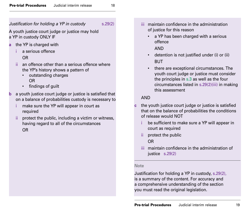#### *Justification for holding a YP in custody* s.29(2)

A youth justice court judge or justice may hold a YP in custody ONLY IF

- **a** the YP is charged with
	- a serious offence

#### OR

- ii an offence other than a serious offence where the YP's history shows a pattern of
	- outstanding charges OR
	- findings of guilt
- **b** a youth justice court judge or justice is satisfied that on a balance of probabilities custody is necessary to
	- make sure the YP will appear in court as required
	- protect the public, including a victim or witness, having regard to all of the circumstances OR
- iii maintain confidence in the administration of justice for this reason
	- a YP has been charged with a serious offence AND
	- detention is not justified under (i) or (ii) BUT
	- there are exceptional circumstances. The youth court judge or justice must consider the principles in s.3 as well as the four circumstances listed in s.29(2)(iii) in making this assessment

#### AND

- **c** the youth justice court judge or justice is satisfied that on the balance of probabilities the conditions of release would NOT
	- be sufficient to make sure a YP will appear in court as required
	- ii protect the public OR
	- iii maintain confidence in the administration of justice s.29(2)

#### **Note**

Justification for holding a YP in custody, s.29(2), is a summary of the content. For accuracy and a comprehensive understanding of the section you must read the original legislation.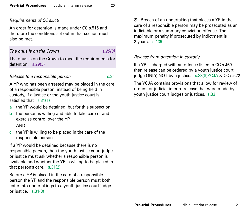#### *Requirements of CC s.515*

An order for detention is made under CC s.515 and therefore the conditions set out in that section must also be met.

#### *The onus is on the Crown s.29(3)*

The onus is on the Crown to meet the requirements for detention. s.29(3)

#### *Release to a responsible person* s.31

A YP who has been arrested may be placed in the care of a responsible person, instead of being held in custody, if a justice or the youth justice court is satisfied that s.31(1)

- **a** the YP would be detained, but for this subsection
- **b** the person is willing and able to take care of and exercise control over the YP AND
- **c** the YP is willing to be placed in the care of the responsible person

If a YP would be detained because there is no responsible person, then the youth justice court judge or justice must ask whether a responsible person is available and whether the YP is willing to be placed in that person's care. s.31(2)

Before a YP is placed in the care of a responsible person the YP and the responsible person must both enter into undertakings to a youth justice court judge or justice. s.31(3)

 $\circled{B}$  Breach of an undertaking that places a YP in the care of a responsible person may be prosecuted as an indictable or a summary conviction offence. The maximum penalty if prosecuted by indictment is 2 years. s.139

#### *Release from detention in custody*

If a YP is charged with an offence listed in CC s.469 then release can be ordered by a youth justice court judge ONLY, NOT by a justice. s.33(8)YCJA & CC s.522

The YCJA contains provisions that allow for review of orders for judicial interim release that were made by youth justice court judges or justices. s.33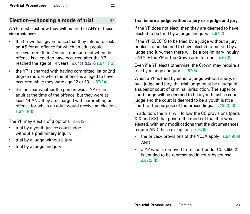#### <span id="page-16-0"></span>**Election—choosing a mode of trial** s.67

A YP must elect how they will be tried in ANY of these circumstances

- the Crown has given notice that they intend to seek an AS for an offence for which an adult could receive more than 2 years imprisonment when the offence is alleged to have occurred after the YP reached the age of 14 years  $s.64(1)$ &(2) & $s.67(1)(b)$
- the YP is charged with having committed 1st or 2nd degree murder when the offence is alleged to have occurred while they were age 12 or 13 s.67(1)(c)
- it is unclear whether the person was a YP or an adult at the time of the offence, but they were at least 14 AND they are charged with committing an offence for which an adult would receive an election s.67(1)(d)

The YP may elect 1 of 3 options s.67(2)

- trial by a youth justice court judge without a preliminary inquiry
- trial by a judge without a jury
- trial by a judge and jury

#### **Trial before a judge without a jury or a judge and jury**

If the YP does not elect, then they are deemed to have elected to be tried by a judge and jury.  $s.67(2)$ 

If the YP ELECTS to be tried by a judge without a jury, or elects or is deemed to have elected to be tried by a judge and jury, then there will be a preliminary inquiry ONLY IF the YP or the Crown asks for one. s.67(2)

Even if a YP elects otherwise, the Crown may require a trial by a judge and jury. s.67(6)

When a YP is tried by either a judge without a jury, or by a judge and jury, the trial judge must be a judge of a superior court of criminal jurisdiction. The superior court judge will be deemed to be a youth justice court judge and the court is deemed to be a youth justice court for the purpose of the proceedings. s.13(2),(3)

In addition, the trial will follow the CC provisions (parts XIX and XX) that govern the mode of trial that was elected, with any modifications that the circumstances require AND these exceptions s.67(9)

- the privacy provisions of the YCJA apply  $s.67(9)(a)$ AND
- a YP who is removed from court under CC s.650(2) is entitled to be represented in court by counsel s.67(9)(b)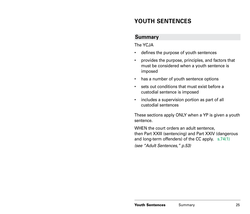#### <span id="page-17-0"></span>**YOUTH SENTENCES**

#### **Summary**

The YCJA

- defines the purpose of youth sentences
- provides the purpose, principles, and factors that must be considered when a youth sentence is imposed
- has a number of youth sentence options
- sets out conditions that must exist before a custodial sentence is imposed
- includes a supervision portion as part of all custodial sentences

These sections apply ONLY when a YP is given a youth sentence.

WHEN the court orders an adult sentence, then Part XXIII (sentencing) and Part XXIV (dangerous and long-term offenders) of the CC apply. s.74(1) *(see "Adult Sentences," p.53)*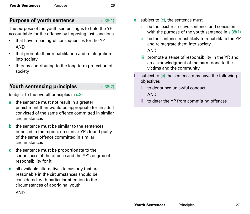#### <span id="page-18-0"></span>**Purpose of youth sentence** s.38(1)

The purpose of the youth sentencing is to hold the YP accountable for the offence by imposing just sanctions

- that have meaningful consequences for the YP AND
- that promote their rehabilitation and reintegration into society
- thereby contributing to the long term protection of society

#### **Youth sentencing principles** s.38(2)

(subject to the overall principles in s.3)

- **a** the sentence must not result in a greater punishment than would be appropriate for an adult convicted of the same offence committed in similar circumstances
- **b** the sentence must be similar to the sentences imposed in the region, on similar YPs found guilty of the same offence committed in similar circumstances
- **c** the sentence must be proportionate to the seriousness of the offence and the YP's degree of responsibility for it
- **d** all available alternatives to custody that are reasonable in the circumstances should be considered, with particular attention to the circumstances of aboriginal youth

AND

- **e** subject to (c), the sentence must
	- be the least restrictive sentence and consistent with the purpose of the youth sentence in s.38(1)
	- ii be the sentence most likely to rehabilitate the YP and reintegrate them into society

AND

- iii promote a sense of responsibility in the YP, and an acknowledgment of the harm done to the victims and the community
- subject to (c) the sentence may have the following objectives
	- to denounce unlawful conduct AND
	- ii to deter the YP from committing offences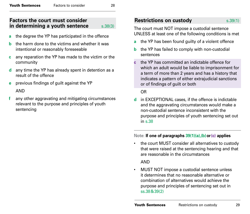#### <span id="page-19-0"></span>**Factors the court must consider in determining a youth sentence** s.38(3)

- **a** the degree the YP has participated in the offence
- **b** the harm done to the victims and whether it was intentional or reasonably foreseeable
- **c** any reparation the YP has made to the victim or the community
- **d** any time the YP has already spent in detention as a result of the offence
- **e** previous findings of guilt against the YP AND
- any other aggravating and mitigating circumstances relevant to the purpose and principles of youth sentencing

#### **Restrictions on custody** s.39(1)

The court must NOT impose a custodial sentence UNLESS at least one of the following conditions is met

- **a** the YP has been found guilty of a violent offence
- **b** the YP has failed to comply with non-custodial sentences
- **c** the YP has committed an indictable offence for which an adult would be liable to imprisonment for a term of more than 2 years and has a history that indicates a pattern of either extrajudicial sanctions or of findings of guilt or both

#### OR

**d** in EXCEPTIONAL cases, if the offence is indictable and the aggravating circumstances would make a non-custodial sentence inconsistent with the purpose and principles of youth sentencing set out in s.38

#### Note: **If one of paragraphs 39(1)(a),(b) or (c) applies**

the court MUST consider all alternatives to custody that were raised at the sentencing hearing and that are reasonable in the circumstances

#### AND

• MUST NOT impose a custodial sentence unless it determines that no reasonable alternative or combination of alternatives would achieve the purpose and principles of sentencing set out in ss.38&39(2)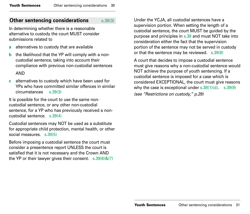#### <span id="page-20-0"></span>**Other sentencing considerations** s.39(3)

In determining whether there is a reasonable alternative to custody the court MUST consider submissions related to

- **a** alternatives to custody that are available
- **b** the likelihood that the YP will comply with a noncustodial sentence, taking into account their compliance with previous non-custodial sentences AND
- **c** alternatives to custody which have been used for YPs who have committed similar offences in similar circumstances s.39(3)

It is possible for the court to use the same noncustodial sentence, or any other non-custodial sentence, for a YP who has previously received a noncustodial sentence. s.39(4)

Custodial sentences may NOT be used as a substitute for appropriate child protection, mental health, or other social measures. s.39(5)

Before imposing a custodial sentence the court must consider a presentence report UNLESS the court is satisfied that it is not necessary and the Crown AND the YP or their lawyer gives their consent. s.39(6)&(7)

Under the YCJA, all custodial sentences have a supervision portion. When setting the length of a custodial sentence, the court MUST be guided by the purpose and principles in s.38 and must NOT take into consideration either the fact that the supervision portion of the sentence may not be served in custody or that the sentence may be reviewed. s.39(8)

A court that decides to impose a custodial sentence must give reasons why a non-custodial sentence would NOT achieve the purpose of youth sentencing. If a custodial sentence is imposed for a case which is considered EXCEPTIONAL, the court must give reasons why the case is exceptional under s.38(1)(d). s.39(9) *(see "Restrictions on custody," p.29)*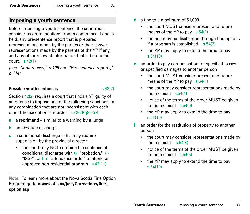#### <span id="page-21-0"></span>**Imposing a youth sentence**

Before imposing a youth sentence, the court must consider recommendations from a conference if one is held, any pre-sentence report that is prepared, representations made by the parties or their lawyer, representations made by the parents of the YP if any, and any other relevant information that is before the court. s.42(1)

*(see "Conferences," p.108 and "Pre-sentence reports," p.114)*

#### **Possible youth sentences** s.42(2)

Section 42(2) requires a court that finds a YP guilty of an offence to impose one of the following sanctions, or any combination that are not inconsistent with each other [the exception is murder  $s.42(2)(q)or(r)$ ]

- **a** a reprimand similar to a warning by a judge
- **b** an absolute discharge
- **c** a conditional discharge this may require supervision by the provincial director
	- the court may NOT combine the sentence of conditional discharge with (k) "probation," (l) "ISSP", or (m) "attendance order" to attend an approved non-residential program s.42(11)

**Note:** To learn more about the Nova Scotia Fine Option Program go to **[novascotia.ca/just/Corrections/fine\\_](http://novascotia.ca/just/Corrections/fine_option.asp) [option.asp](http://novascotia.ca/just/Corrections/fine_option.asp)**

- **d** a fine to a maximum of \$1,000
	- the court MUST consider present and future means of the YP to pay s.54(1)
	- the fine may be discharged through fine options if a program is established  $s.54(2)$
	- the YP may apply to extend the time to pay s.54(10)
- **e** an order to pay compensation for specified losses or specified damages to another person
	- the court MUST consider present and future means of the YP to pay s.54(1)
	- the court may consider representations made by the recipient s.54(4)
	- notice of the terms of the order MUST be given to the recipient s.54(5)
	- the YP may apply to extend the time to pay s.54(10)
- **f** an order for the restitution of property to another person
	- the court may consider representations made by the recipient s.54(4)
	- notice of the terms of the order MUST be given to the recipient s.54(5)
	- the YP may apply to extend the time to pay s.54(10)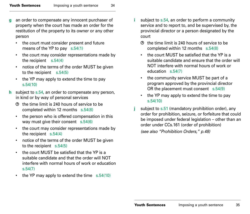- **g** an order to compensate any innocent purchaser of property when the court has made an order for the restitution of the property to its owner or any other person
	- the court must consider present and future means of the YP to pay s.54(1)
	- the court may consider representations made by the recipient s.54(4)
	- notice of the terms of the order MUST be given to the recipient s.54(5)
	- the YP may apply to extend the time to pay s.54(10)
- **h** subject to s.54, an order to compensate any person, in kind or by way of personal services
	- the time limit is 240 hours of service to be completed within 12 months s.54(8)
	- the person who is offered compensation in this way must give their consent s.54(6)
	- the court may consider representations made by the recipient s.54(4)
	- notice of the terms of the order MUST be given to the recipient s.54(5)
	- the court MUST be satisfied that the YP is a suitable candidate and that the order will NOT interfere with normal hours of work or education s.54(7)
	- the YP may apply to extend the time s.54(10)
- **i** subject to s.54, an order to perform a community service and to report to, and be supervised by, the provincial director or a person designated by the court
	- $\Phi$  the time limit is 240 hours of service to be completed within 12 months s.54(8)
	- the court MUST be satisfied that the YP is a suitable candidate and ensure that the order will NOT interfere with normal hours of work or education s.54(7)
	- the community service MUST be part of a program approved by the provincial director OR the placement must consent s.54(9)
	- the YP may apply to extend the time to pay s.54(10)
- **j** subject to s.51 (mandatory prohibition order), any order for prohibition, seizure, or forfeiture that could be imposed under federal legislation – other than an order under CCs.161 (order of prohibition) *(see also "Prohibition Orders," p.48)*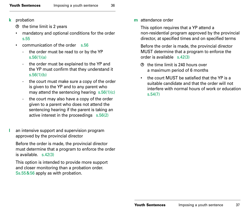- **k** probation
	- $\Theta$  the time limit is 2 years
	- mandatory and optional conditions for the order s.55
	- communication of the order s.56
		- the order must be read to or by the YP s.56(1)(a)
		- the order must be explained to the YP and the YP must confirm that they understand it s.56(1)(b)
		- the court must make sure a copy of the order is given to the YP and to any parent who may attend the sentencing hearing s.56(1)(c)
		- the court may also have a copy of the order given to a parent who does not attend the sentencing hearing if the parent is taking an active interest in the proceedings s.56(2)
- **l** an intensive support and supervision program approved by the provincial director

Before the order is made, the provincial director must determine that a program to enforce the order is available  $\leq 42(3)$ 

This option is intended to provide more support and closer monitoring than a probation order. Ss.55&56 apply as with probation.

**m** attendance order

This option requires that a YP attend a non-residential program approved by the provincial director, at specified times and on specified terms

Before the order is made, the provincial director MUST determine that a program to enforce the order is available s.42(3)

- the time limit is 240 hours over a maximum period of 6 months
- the court MUST be satisfied that the YP is a suitable candidate and that the order will not interfere with normal hours of work or education s.54(7)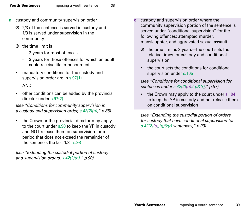- **n** custody and community supervision order
	- 2/3 of the sentence is served in custody and 1/3 is served under supervision in the community
	- the time limit is
		- 2 years for most offences
		- 3 years for those offences for which an adult could receive life imprisonment
	- mandatory conditions for the custody and supervision order are in s.97(1)

#### AND

• other conditions can be added by the provincial director under s.97(2)

*(see "Conditions for community supervision in a custody and supervision order, s.42(2)(n)," p.85)* 

the Crown or the provincial director may apply to the court under s.98 to keep the YP in custody and NOT release them on supervision for a period that does not exceed the remainder of the sentence, the last 1/3 s.98

*(see "Extending the custodial portion of custody and supervision orders, s.42(2)(n)," p.90)* 

- **o** custody and supervision order where the community supervision portion of the sentence is served under "conditional supervision" for the following offences: attempted murder, manslaughter, and aggravated sexual assault
	- $\Theta$  the time limit is 3 years—the court sets the relative times for custody and conditional supervision
	- the court sets the conditions for conditional supervision under s.105

*(see "Conditions for conditional supervision for sentences under s.42(2)(o),(q)&(r)," p.87)* 

• the Crown may apply to the court under s.104 to keep the YP in custody and not release them on conditional supervision

*(see "Extending the custodial portion of orders for custody that have conditional supervision for s.42(2)(o),(q)&(r) sentences," p.93)*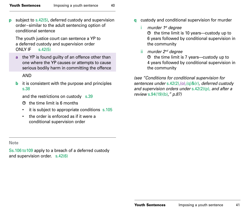**p** subject to s.42(5), deferred custody and supervision order–similar to the adult sentencing option of conditional sentence

The youth justice court can sentence a YP to a deferred custody and supervision order ONLY IF  $s.42(5)$ 

**a** the YP is found guilty of an offence other than one where the YP causes or attempts to cause serious bodily harm in committing the offence

#### AND

**b** it is consistent with the purpose and principles s.38

and the restrictions on custody s.39

- the time limit is 6 months
- it is subject to appropriate conditions s.105
- the order is enforced as if it were a conditional supervision order

**q** custody and conditional supervision for murder

i *murder 1st degree*   $\Theta$  the time limit is 10 years—custody up to

6 years followed by conditional supervision in the community

ii *murder 2nd degree* 

the time limit is 7 years—custody up to 4 years followed by conditional supervision in the community

*(see "Conditions for conditional supervision for sentences under* s.42(2),(o),(q)&(r)*, deferred custody and supervision orders under* s.42(2)(p), *and after a review* s.94(19)(b),*" p.87)* 

**Note**

Ss.106 to109 apply to a breach of a deferred custody and supervision order. s.42(6)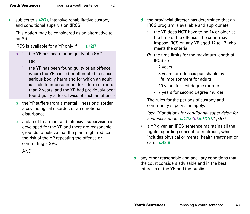**r** subject to s.42(7), intensive rehabilitative custody and conditional supervision (IRCS)

This option may be considered as an alternative to an AS

IRCS is available for a YP only if  $s.42(7)$ 

**a** i the YP has been found guilty of a SVO

#### OR

- ii the YP has been found guilty of an offence, where the YP caused or attempted to cause serious bodily harm and for which an adult is liable to imprisonment for a term of more than 2 years, and the YP had previously been found guilty at least twice of such an offence
- **b** the YP suffers from a mental illness or disorder, a psychological disorder, or an emotional disturbance
- **c** a plan of treatment and intensive supervision is developed for the YP and there are reasonable grounds to believe that the plan might reduce the risk of the YP repeating the offence or committing a SVO

AND

- **d** the provincial director has determined that an IRCS program is available and appropriate
	- the YP does NOT have to be 14 or older at the time of the offence. The court may impose IRCS on any YP aged 12 to 17 who meets the criteria
	- $\Theta$  the time limits for the maximum length of IRCS are:
		- 2 years
		- 3 years for offences punishable by life imprisonment for adults
		- 10 years for first degree murder
		- 7 years for second degree murder

The rules for the periods of custody and community supervision apply.

*(see "Conditions for conditional supervision for sentences under s.42(2)(o),(q)&(r)," p.87)*

- a YP given an IRCS sentence maintains all the rights regarding consent to treatment, which includes physical or mental health treatment or care s.42(8)
- **s** any other reasonable and ancillary conditions that the court considers advisable and in the best interests of the YP and the public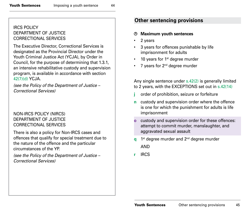#### <span id="page-27-0"></span>IRCS POLICY DEPARTMENT OF JUSTICE CORRECTIONAL SERVICES

The Executive Director, Correctional Services is designated as the Provincial Director under the Youth Criminal Justice Act (YCJA), by Order in Council, for the purpose of determining that 1.3.1, an intensive rehabilitative custody and supervision program, is available in accordance with section 42(7)(d) YCJA.

*(see the Policy of the Department of Justice – Correctional Services)*

#### NON-IRCS POLICY (NIRCS) DEPARTMENT OF JUSTICE CORRECTIONAL SERVICES

There is also a policy for Non-IRCS cases and offences that qualify for special treatment due to the nature of the offence and the particular circumstances of the YP.

*(see the Policy of the Department of Justice – Correctional Services)*

#### **Other sentencing provisions**

#### **Maximum youth sentences** ⊕

- 2 years
- 3 years for offences punishable by life imprisonment for adults
- $\cdot$  10 years for 1st degree murder
- 7 years for 2<sup>nd</sup> degree murder

Any single sentence under s.42(2) is generally limited to 2 years, with the EXCEPTIONS set out in s.42(14)

- **j** order of prohibition, seizure or forfeiture
- **n** custody and supervision order where the offence is one for which the punishment for adults is life imprisonment
- **o** custody and supervision order for these offences: attempt to commit murder, manslaughter, and aggravated sexual assault
- **q** 1<sup>st</sup> degree murder and 2<sup>nd</sup> degree murder

AND

**r** IRCS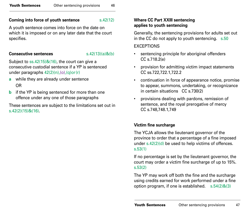#### **Coming into force of youth sentence** s.42(12)

A youth sentence comes into force on the date on which it is imposed or on any later date that the court specifies.

#### **Consecutive sentences** s.42(13)(a)&(b)

Subject to ss.42(15)&(16), the court can give a consecutive custodial sentence if a YP is sentenced under paragraphs 42(2)(n),(o),(q)or(r)

- **a** while they are already under sentence OR
- **b** if the YP is being sentenced for more than one offence under any one of those paragraphs

These sentences are subject to the limitations set out in s.42(2)(15)&(16).

#### **Where CC Part XXIII sentencing applies to youth sentencing**

Generally, the sentencing provisions for adults set out in the CC do not apply to youth sentencing. s.50 **EXCEPTIONS** 

- sentencing principle for aboriginal offenders CC s.718.2(e)
- provision for admitting victim impact statements CC ss.722,722.1,722.2
- continuation in force of appearance notice, promise to appear, summons, undertaking, or recognizance in certain situations CC s.730(2)
- provisions dealing with pardons, remission of sentence, and the royal prerogative of mercy CC s.748,748.1,749

#### **Victim fine surcharge**

The YCJA allows the lieutenant governor of the province to order that a percentage of a fine imposed under s.42(2)(d) be used to help victims of offences. s.53(1)

If no percentage is set by the lieutenant governor, the court may order a victim fine surcharge of up to 15%. s.53(2)

The YP may work off both the fine and the surcharge using credits earned for work performed under a fine option program, if one is established. s.54(2)&(3)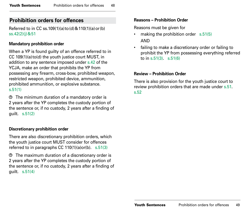#### <span id="page-29-0"></span>**Prohibition orders for offences**

Referred to in CC ss.109(1)(a)to(d)&110(1)(a)or(b) ss.42(2)(j)&51

#### **Mandatory prohibition order**

When a YP is found guilty of an offence referred to in CC 109(1)(a)to(d) the youth justice court MUST, in addition to any sentence imposed under s.42 of the YCJA, make an order that prohibits the YP from possessing any firearm, cross-bow, prohibited weapon, restricted weapon, prohibited device, ammunition, prohibited ammunition, or explosive substance. s.51(1)

The minimum duration of a mandatory order is 2 years after the YP completes the custody portion of the sentence or, if no custody, 2 years after a finding of guilt. s.51(2)

#### **Discretionary prohibition order**

There are also discretionary prohibition orders, which the youth justice court MUST consider for offences referred to in paragraphs CC 110(1)(a)or(b). s.51(3)

The maximum duration of a discretionary order is 2 years after the YP completes the custody portion of the sentence or, if no custody, 2 years after a finding of guilt. s.51(4)

#### **Reasons – Prohibition Order**

Reasons must be given for

- making the prohibition order s.51(5) AND
- failing to make a discretionary order or failing to prohibit the YP from possessing everything referred to in s.51(3). s.51(6)

#### **Review – Prohibition Order**

There is also provision for the youth justice court to review prohibition orders that are made under s.51. s.52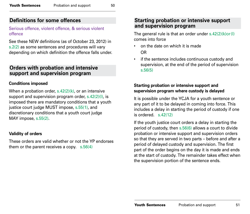#### <span id="page-30-0"></span>**Definitions for some offences**

#### Serious offence, violent offence, & serious violent offence

See these NEW definitions (as of October 23, 2012) in s.2(2) as some sentences and procedures will vary depending on which definition the offence falls under.

#### **Orders with probation and intensive support and supervision program**

#### **Conditions imposed**

When a probation order,  $s.42(2)(k)$ , or an intensive support and supervision program order, s.42(2)(l), is imposed there are mandatory conditions that a youth justice court judge MUST impose, s.55(1), and discretionary conditions that a youth court judge MAY impose, s.55(2).

#### **Validity of orders**

These orders are valid whether or not the YP endorses them or the parent receives a copy. s.56(4)

#### **Starting probation or intensive support and supervision program**

The general rule is that an order under  $s.42(2)(k)$ or(I) comes into force

- on the date on which it is made OR
- if the sentence includes continuous custody and supervision, at the end of the period of supervision s.56(5)

#### **Starting probation or intensive support and supervision program where custody is delayed**

It is possible under the YCJA for a youth sentence or any part of it to be delayed in coming into force. This includes a delay in starting the period of custody if one is ordered  $s$  42(12)

If the youth justice court orders a delay in starting the period of custody, then s.56(6) allows a court to divide probation or intensive support and supervision orders so that they are served in two parts – before and after a period of delayed custody and supervision. The first part of the order begins on the day it is made and ends at the start of custody. The remainder takes effect when the supervision portion of the sentence ends.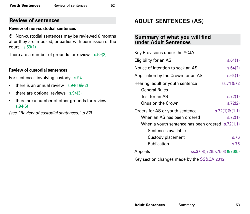#### <span id="page-31-0"></span>**Review of sentences**

#### **Review of non-custodial sentences**

Non-custodial sentences may be reviewed 6 months after they are imposed, or earlier with permission of the court. s.59(1)

There are a number of grounds for review. s.59(2)

#### **Review of custodial sentences**

For sentences involving custody s.94

- there is an annual review  $s.94(1)8(2)$
- there are optional reviews s.94(3)
- there are a number of other grounds for review s.94(6)

*(see "Review of custodial sentences," p.82)*

### **ADULT SENTENCES (AS)**

#### **Summary of what you will find under Adult Sentences**

| Key Provisions under the YCJA                      |          |  |  |  |
|----------------------------------------------------|----------|--|--|--|
| Eligibility for an AS                              | s.64(1)  |  |  |  |
| Notice of intention to seek an AS                  | s.64(2)  |  |  |  |
| Application by the Crown for an AS                 | s.64(1)  |  |  |  |
| Hearing: adult or youth sentence                   | ss.71&72 |  |  |  |
| General Rules                                      |          |  |  |  |
| Test for an AS                                     | s.72(1)  |  |  |  |
| Onus on the Crown                                  | s.72(2)  |  |  |  |
| Orders for AS or youth sentence<br>s.72(1) & (1.1) |          |  |  |  |
| When an AS has been ordered<br>s.72(1)             |          |  |  |  |
| When a youth sentence has been ordered $s.72(1.1)$ |          |  |  |  |
| Sentences available                                |          |  |  |  |
| Custody placement                                  | s.76     |  |  |  |
| Publication                                        | s.75     |  |  |  |
| ss.37(4),72(5),75(4)&76(5)<br>Appeals              |          |  |  |  |
| Key section changes made by the SS&CA 2012         |          |  |  |  |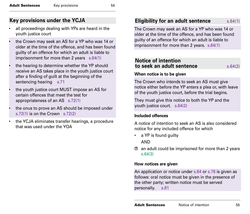#### <span id="page-32-0"></span>**Key provisions under the YCJA**

- all proceedings dealing with YPs are heard in the youth justice court
- the Crown may seek an AS for a YP who was 14 or older at the time of the offence, and has been found guilty of an offence for which an adult is liable to imprisonment for more than 2 years s.64(1)
- the hearing to determine whether the YP should receive an AS takes place in the youth justice court after a finding of guilt at the beginning of the sentencing hearing s.71
- the youth justice court MUST impose an AS for certain offences that meet the test for appropriateness of an AS s.72(1)
- the onus to prove an AS should be imposed under s.72(1) is on the Crown s.72(2)
- the YCJA eliminates transfer hearings, a procedure that was used under the YOA

#### **Eligibility for an adult sentence** s.64(1)

The Crown may seek an AS for a YP who was 14 or older at the time of the offence, and has been found guilty of an offence for which an adult is liable to imprisonment for more than 2 years. s.64(1)

#### **Notice of intention to seek an adult sentence** s.64(2)

#### **When notice is to be given**

The Crown who intends to seek an AS must give notice either before the YP enters a plea or, with leave of the youth justice court, before the trial begins.

They must give this notice to both the YP and the youth justice court. s.64(2)

#### **Included offences**

A notice of intention to seek an AS is also considered notice for any included offence for which

- a YP is found guilty AND
- an adult could be imprisoned for more than 2 years s.64(3)

#### **How notices are given**

An application or notice under s.64 or s.76 is given as follows: oral notice must be given in the presence of the other party; written notice must be served personally. s.81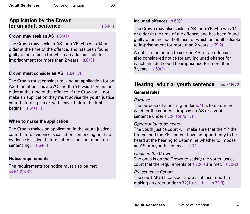#### <span id="page-33-0"></span>**Application by the Crown for an adult sentence** s.64(1)

#### **Crown may seek an AS** s.64(1)

The Crown may seek an AS for a YP who was 14 or older at the time of the offence, and has been found guilty of an offence for which an adult is liable to imprisonment for more than 2 years. s.64(1)

#### **Crown must consider an AS**  $\leq 64(1.1)$

The Crown must consider making an application for an AS if the offence is a SVO and the YP was 14 years or older at the time of the offence. If the Crown will not make an application they must advise the youth justice court before a plea or, with leave, before the trial begins. s.64(1.1)

#### **When to make the application**

The Crown makes an application in the youth justice court before evidence is called on sentencing or, if no evidence is called, before submissions are made on sentencing. s.64(1)

#### **Notice requirements**

The requirements for notice must also be met. ss.64(2)&81

#### **Included offences** s.69(2)

The Crown may also seek an AS for a YP who was 14 or older at the time of the offence, and has been found guilty of an included offence for which an adult is liable to imprisonment for more than 2 years. s.69(2)

A notice of intention to seek an AS for an offence is also considered notice for any included offence for which an adult could be imprisoned for more than 2 years. s.69(2)

#### **Hearing: adult or youth sentence** ss.71&72

#### **General rules**

#### *Purpose*

The purpose of a hearing under s.71 is to determine whether the court will impose an AS or a youth sentence under s.72(1) or 72(1.1).

#### *Opportunity to be heard*

The youth justice court will make sure that the YP, the Crown, and the YP's parent have an opportunity to be heard at the hearing to determine whether to impose an AS or a youth sentence. s.71

#### *Onus on the Crown*

The onus is on the Crown to satisfy the youth justice court that the requirements of s.72(1) are met. s.72(2)

#### *Pre-sentence Report*

The court MUST consider a pre-sentence report in making an order under  $s.72(1)$  or  $(1.1)$ .  $s.72(3)$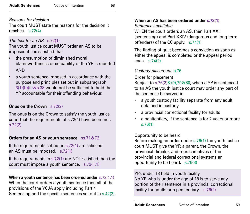#### *Reasons for decision*

The court MUST state the reasons for the decision it reaches. s.72(4)

#### *The test for an AS* s.72(1)

The youth justice court MUST order an AS to be imposed if it is satisfied that

- the presumption of diminished moral blameworthiness or culpability of the YP is rebutted AND
- a youth sentence imposed in accordance with the purpose and principles set out in subparagraph 3(1)(b)(ii)&s.38 would not be sufficient to hold the YP accountable for their offending behaviour.

#### **Onus on the Crown** s.72(2)

The onus is on the Crown to satisfy the youth justice court that the requirements of s.72(1) have been met. s.72(2)

#### **Orders for an AS or youth sentence** ss.71&72

If the requirements set out in s.72(1) are satisfied an AS must be imposed. s.72(1)

If the requirements in s.72(1) are NOT satisfied then the court must impose a youth sentence. s.72(1.1)

#### **When a youth sentence has been ordered under** s.72(1.1)

When the court orders a youth sentence then all of the provisions of the YCJA apply including Part 4 Sentencing and the specific sentences set out in s.42(2).

#### **When an AS has been ordered under s.72(1)**

*Sentences available* WHEN the court orders an AS, then Part XXIII (sentencing) and Part XXIV (dangerous and long-term offenders) of the CC apply. s.74(1)

The finding of guilt becomes a conviction as soon as either the appeal is completed or the appeal period ends. s.74(2)

#### *Custody placement* s.76

Order for placement

Subject to s.76(2)&(9),79&80, when a YP is sentenced to an AS the youth justice court may order any part of the sentence be served in

- a youth custody facility separate from any adult detained in custody
- a provincial correctional facility for adults
- a penitentiary, if the sentence is for 2 years or more s.76(1)

#### Opportunity to be heard

Before making an order under s.76(1) the youth justice court MUST give the YP, a parent, the Crown, the provincial director, and representatives of the provincial and federal correctional systems an opportunity to be heard. s.76(3)

YPs under 18 held in youth facility No YP who is under the age of 18 is to serve any portion of their sentence in a provincial correctional facility for adults or a penitentiary. s.76(2)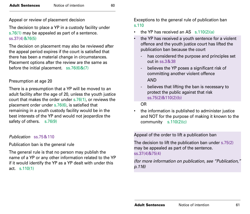Appeal or review of placement decision

The decision to place a YP in a custody facility under s.76(1) may be appealed as part of a sentence. ss.37(4)&76(5)

The decision on placement may also be reviewed after the appeal period expires if the court is satisfied that there has been a material change in circumstances. Placement options after the review are the same as before the initial placement.  $ss.76(6)\&(7)$ 

#### Presumption at age 20

There is a presumption that a YP will be moved to an adult facility after the age of 20, unless the youth justice court that makes the order under s.76(1), or reviews the placement order under s.76(6), is satisfied that remaining in a youth custody facility would be in the best interests of the YP and would not jeopardize the safety of others. s.76(9)

#### *Publication* ss.75&110

Publication ban is the general rule

The general rule is that no person may publish the name of a YP or any other information related to the YP if it would identify the YP as a YP dealt with under this act. s.110(1)

Exceptions to the general rule of publication ban s.110

- the YP has received an AS s.110(2)(a)
- the YP has received a youth sentence for a violent offence and the youth justice court has lifted the publication ban because the court
	- has considered the purpose and principles set out in ss.3&38
	- believes the YP poses a significant risk of committing another violent offence AND
	- believes that lifting the ban is necessary to protect the public against that risk ss.75(2)&110(2)(b)

#### OR

• the information is published to administer justice and NOT for the purpose of making it known to the community s.110(2)(c)

Appeal of the order to lift a publication ban

The decision to lift the publication ban under s.75(2) may be appealed as part of the sentence. ss.37(4)&75(4)

*(for more information on publication, see "Publication," p.116)*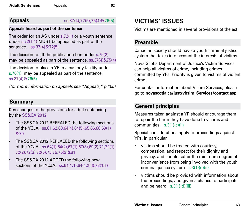## **Appeals** ss.37(4),72(5),75(4)&76(5)

## **Appeals heard as part of the sentence**

The order for an AS under s.72(1) or a youth sentence under s.72(1.1) MUST be appealed as part of the sentence. ss.37(4)&72(5)

The decision to lift the publication ban under s.75(2) may be appealed as part of the sentence. ss.37(4)&75(4)

The decision to place a YP in a custody facility under s.76(1) may be appealed as part of the sentence. ss.37(4)&76(5)

*(for more information on appeals see "Appeals," p.105)*

# **Summary**

Key changes to the provisions for adult sentencing by the SS&CA 2012

- The SS&CA 2012 REPEALED the following sections of the YCJA: ss.61,62,63,64(4),64(5),65,66,68,69(1) &70
- The SS&CA 2012 REPLACED the following sections of the YCJA: ss.64(1),64(2),67(1),67(3),69(2),71,72(1), 72(2),72(3),72(5),73,75,76(2)&81
- The SS&CA 2012 ADDED the following new sections of the YCJA: ss.64(1.1),64(1.2),&72(1.1)

# **VICTIMS' ISSUES**

Victims are mentioned in several provisions of the act.

# **Preamble**

Canadian society should have a youth criminal justice system that takes into account the interests of victims.

Nova Scotia Department of Justice's Victim Services can help all victims of crime, including crimes committed by YPs. Priority is given to victims of violent crime.

For contact information about Victim Services, please go to **novascotia.ca/just/victim\_Services/contact.asp**

# **General principles**

Measures taken against a YP should encourage them to repair the harm they have done to victims and communities. s.3(1)(c)(ii)

Special considerations apply to proceedings against YPs. In particular

- victims should be treated with courtesy, compassion, and respect for their dignity and privacy, and should suffer the minimum degree of inconvenience from being involved with the youth criminal justice system s.3(1)(d)(ii)
- victims should be provided with information about the proceedings, and given a chance to participate and be heard s.3(1)(d)(iii)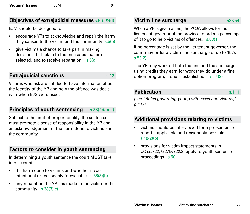## **Objectives of extrajudicial measures** s.5(b)&(d)

EJM should be designed to

- encourage YPs to acknowledge and repair the harm they caused to the victim and the community s.5(b)
- give victims a chance to take part in making decisions that relate to the measures that are selected, and to receive reparation s.5(d)

## **Extrajudicial sanctions** s.12

Victims who ask are entitled to have information about the identity of the YP and how the offence was dealt with when EJS were used.

## **Principles of youth sentencing** s.38(2)(e)(iii)

Subject to the limit of proportionality, the sentence must promote a sense of responsibility in the YP and an acknowledgement of the harm done to victims and the community.

## **Factors to consider in youth sentencing**

In determining a youth sentence the court MUST take into account

- the harm done to victims and whether it was intentional or reasonably foreseeable s.38(3)(b)
- any reparation the YP has made to the victim or the community s.38(3)(c)

## **Victim fine surcharge ss.53&54**

When a YP is given a fine, the YCJA allows for the lieutenant governor of the province to order a percentage of it to go to help victims of offences. s.53(1)

If no percentage is set by the lieutenant governor, the court may order a victim fine surcharge of up to 15%. s.53(2)

The YP may work off both the fine and the surcharge using credits they earn for work they do under a fine option program, if one is established. s.54(2)

## **Publication** s.111

*(see "Rules governing young witnesses and victims," p.117)*

## **Additional provisions relating to victims**

- victims should be interviewed for a pre-sentence report if applicable and reasonably possible s.40(2)(b)
- provisions for victim impact statements in CC ss.722,722.1&722.2 apply to youth sentence proceedings s.50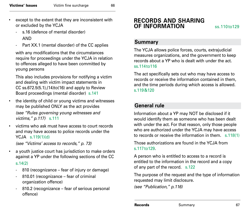- except to the extent that they are inconsistent with or excluded by the YCJA
	- s.16 (defence of mental disorder) AND
	- Part XX.1 (mental disorder) of the CC applies

with any modifications that the circumstances require for proceedings under the YCJA in relation to offences alleged to have been committed by young persons

This also includes provisions for notifying a victim and dealing with victim impact statements in CC ss.672.5(5.1),(14)to(16) and apply to Review Board proceedings (mental disorder) s.141

- the identity of child or young victims and witnesses may be published ONLY as the act provides *(see "Rules governing young witnesses and victims," p.117)* s.111
- victims who ask must have access to court records and may have access to police records under the YCJA s.119(1)(d)

*(see "Victims' access to records," p. 73)*

- a youth justice court has jurisdiction to make orders against a YP under the following sections of the CC s.14(2)
	- 810 (recognizance fear of injury or damage)
	- 810.01 (recognizance fear of criminal organization offence)
	- 810.2 (recognizance fear of serious personal offence)

# **RECORDS AND SHARING OF INFORMATION ss.110to129**

## **Summary**

The YCJA allows police forces, courts, extrajudicial measures organizations, and the government to keep records about a YP who is dealt with under the act. ss.114to116

The act specifically sets out who may have access to records or receive the information contained in them, and the time periods during which access is allowed. s.119&120

## **General rule**

Information about a YP may NOT be disclosed if it would identify them as someone who has been dealt with under the act. For that reason, only those people who are authorized under the YCJA may have access to records or receive the information in them. s.118(1)

Those authorizations are found in the YCJA from s.117to129.

A person who is entitled to access to a record is entitled to the information in the record and a copy of any part of the record. s.122

The purpose of the request and the type of information requested may limit disclosure.

*(see "Publication," p.116)*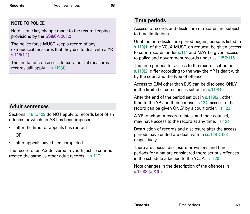## **NOTE TO POLICE**

Here is one key change made to the record keeping provisions by the SS&CA 2012:

The police force MUST keep a record of any extrajudicial measures that they use to deal with a YP. s.115(1.1)

The limitations on access to extrajudicial measures records still apply. s.119(4)

# **Adult sentences**

Sections 118 to 129 do NOT apply to records kept of an offence for which an AS has been imposed

- after the time for appeals has run out OR
- after appeals have been completed.

The record of an AS delivered in youth justice court is treated the same as other adult records. s.117

## **Time periods**

Access to records and disclosure of records are subject to time limitations.

Until the non-disclosure period begins, persons listed in s.119(1) of the YCJA MUST, on request, be given access to court records under s.114 and MAY be given access to police and government records under ss.115&116.

The time periods for access to the records set out in s.119(2) differ according to the way the YP is dealt with by the court and the type of offence.

Access to EJM other than EJS can be disclosed ONLY in the limited circumstances set out in s. 119(4).

After the end of the period set out in s.119(2), other than to the YP and their counsel, s.124, access to the record can be given ONLY by a court order. s.123

A YP to whom a record relates, and their counsel, may have access to the record at any time. s.124

Destruction of records and disclosure after the access periods have ended are dealt with in ss.128&123 respectively.

There are special disclosure provisions and time periods for what are considered more-serious offences in the schedule attached to the YCJA. s.120

Note changes in the description of the offences in s.120(3)(a)&(b).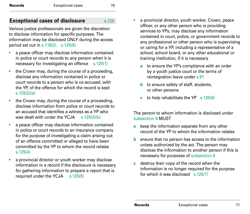## **Exceptional cases of disclosure** s.125

Various justice professionals are given the discretion to disclose information for specific purposes. The information may be disclosed ONLY during the access period set out in s.119(2). s.125(8)

- a peace officer may disclose information contained in police or court records to any person when it is necessary for investigating an offence s.125(1)
- the Crown may, during the course of a proceeding, disclose any information contained in police or court records to a person who is co-accused, with the YP, of the offence for which the record is kept s.125(2)(a)
- the Crown may, during the course of a proceeding, disclose information from police or court records to an accused that identifies a witness as a YP who was dealt with under the  $YC<sub>n</sub>$  s.  $125(2)(b)$
- a peace officer may disclose information contained in police or court records to an insurance company for the purpose of investigating a claim arising out of an offence committed or alleged to have been committed by the YP to whom the record relates s.125(4)
- a provincial director or youth worker may disclose information in a record if the disclosure is necessary for gathering information to prepare a report that is required under the YCJA s.125(5)
- a provincial director, youth worker, Crown, peace officer, or any other person who is providing services to YPs, may disclose any information contained in court, police, or government records to any professional or other person who is supervising or caring for a YP, including a representative of a school, school board, or any other educational or training institution, if it is necessary
	- **a** to ensure the YP's compliance with an order by a youth justice court or the terms of reintegration leave under s.91
	- **b** to ensure safety of staff, students, or other persons
	- **c** to help rehabilitate the YP s.125(6)

The person to whom information is disclosed under subsection 6 MUST

- **a** keep the information separate from any other record of the YP to whom the information relates
- **b** ensure that no person has access to the information unless authorized by the act. The person may disclose the information to another person if this is necessary for purposes of subsection 6
- **c** destroy their copy of the record when the information is no longer required for the purpose for which it was disclosed s.125(7)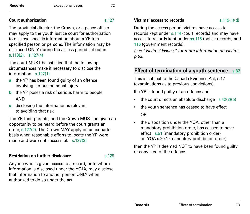## **Court authorization SALL SET AND SALL SET AND SALL SET AND SALL SET AND SALL SET AND SALL SET AND SALL SET AND SALL SET AND SALL SET AND SALL SET AND SALL SET AND SALL SET AND SALL SET AND SALL SET AND SALL SET AND SALL**

The provincial director, the Crown, or a peace officer may apply to the youth justice court for authorization to disclose specific information about a YP to a specified person or persons. The information may be disclosed ONLY during the access period set out in s.119(2). s.127(4)

The court MUST be satisfied that the following circumstances make it necessary to disclose the information s.127(1)

- **a** the YP has been found guilty of an offence involving serious personal injury
- **b** the YP poses a risk of serious harm to people AND
- **c** disclosing the information is relevant to avoiding that risk

The YP, their parents, and the Crown MUST be given an opportunity to be heard before the court grants an order, s.127(2). The Crown MAY apply on an ex parte basis when reasonable efforts to locate the YP were made and were not successful. s. 127(3)

## **Restriction on further disclosure** s.129

Anyone who is given access to a record, or to whom information is disclosed under the YCJA, may disclose that information to another person ONLY when authorized to do so under the act.

#### **Victims' access to records** s. 119(1)(d)

During the access period, victims have access to records kept under s.114 (court records) and may have access to records kept under ss.115 (police records) and 116 (government records).

*(see "Victims' Issues," for more information on victims p.63)*

## **Effect of termination of a youth sentence** s.82

This is subject to the Canada Evidence Act, s.12 (examinations as to previous convictions).

If a YP is found guilty of an offence and

- the court directs an absolute discharge  $s.42(2)(b)$
- the youth sentence has ceased to have effect OR
- the disposition under the YOA, other than a mandatory prohibition order, has ceased to have effect s.51 (mandatory prohibition order) or YOA s.20.1 (mandatory prohibition order)

then the YP is deemed NOT to have been found guilty or convicted of the offence.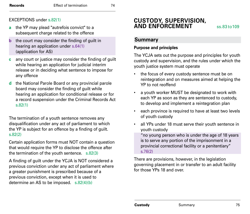#### EXCEPTIONS under s.82(1)

- **a** the YP may plead "autrefois convict" to a subsequent charge related to the offence
- **b** the court may consider the finding of guilt in hearing an application under s.64(1) (application for AS)
- **c** any court or justice may consider the finding of guilt while hearing an application for judicial interim release or in deciding what sentence to impose for any offence
- **d** the National Parole Board or any provincial parole board may consider the finding of guilt while hearing an application for conditional release or for a record suspension under the Criminal Records Act s.82(1)

The termination of a youth sentence removes any disqualification under any act of parliament to which the YP is subject for an offence by a finding of guilt. s.82(2)

Certain application forms must NOT contain a question that would require the YP to disclose the offence after the termination of the youth sentence. s.82(3)

A finding of guilt under the YCJA is NOT considered a previous conviction under any act of parliament where a greater punishment is prescribed because of a previous conviction, except when it is used to determine an AS to be imposed. s.82(4)(b)

# **CUSTODY, SUPERVISION, AND ENFORCEMENT** ss.83 to 109

## **Summary**

#### **Purpose and principles**

The YCJA sets out the purpose and principles for youth custody and supervision, and the rules under which the youth justice system must operate

- the focus of every custody sentence must be on reintegration and on measures aimed at helping the YP to not reoffend
- a youth worker MUST be designated to work with each YP as soon as they are sentenced to custody, to develop and implement a reintegration plan
- each province is required to have at least two levels of youth custody
- all YPs under 18 must serve their youth sentence in youth custody

"no young person who is under the age of 18 years is to serve any portion of the imprisonment in a provincial correctional facility or a penitentiary" s.76(2)

There are provisions, however, in the legislation governing placement in or transfer to an adult facility for those YPs 18 and over.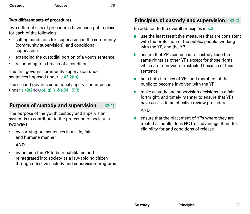| Custody | Purpose | 76 |
|---------|---------|----|
|         |         |    |

#### **Two different sets of procedures**

Two different sets of procedures have been put in place for each of the following

- setting conditions for supervision in the community (community supervision) and conditional supervision
- extending the custodial portion of a youth sentence
- responding to a breach of a condition

The first governs community supervision under sentences imposed under s.42(2)(n).

The second governs conditional supervision imposed under s.42(2)(o),(p),(q),(r)&s.94(19)(b).

## **Purpose of custody and supervision** s.83(1)

The purpose of the youth custody and supervision system is to contribute to the protection of society in two ways

• by carrying out sentences in a safe, fair, and humane manner

AND

• by helping the YP to be rehabilitated and reintegrated into society as a law-abiding citizen through effective custody and supervision programs

# **Principles of custody and supervision** s.83(2)

(in addition to the overall principles in s.3)

- **a** use the least restrictive measures that are consistent with the protection of the public, people working with the YP, and the YP
- **b** ensure that YPs sentenced to custody keep the same rights as other YPs except for those rights which are removed or restricted because of their sentence
- **c** help both families of YPs and members of the public to become involved with the YP
- **d** make custody and supervision decisions in a fair, forthright, and timely manner to ensure that YPs have access to an effective review procedure AND
- **e** ensure that the placement of YPs where they are treated as adults does NOT disadvantage them for eligibility for and conditions of release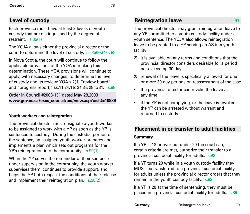# **Level of custody**

Each province must have at least 2 levels of youth custody that are distinguished by the degree of restraint. s.85(1)

The YCJA allows either the provincial director or the court to determine the level of custody. ss.85(3),(4)&88

In Nova Scotia, the court will continue to follow the applicable provisions of the YOA in making this determination. These YOA provisions will continue to apply, with necessary changes, to determine the level of custody and its review: YOA s.2(1) "review board" and "progress report," ss.11,24.1to24.3&28 to31. s.88

Order in Council #2003-131 dated May 28,2003 **www.gov.ns.ca/exec\_council/oic/view.asp?oicID=10939**

## **Youth workers and reintegration**

The provincial director must designate a youth worker to be assigned to work with a YP as soon as the YP is sentenced to custody. During the custodial portion of the sentence, an assigned youth worker prepares and implements a plan which sets out programs for the YP's reintegration into the community. s.90(1)

When the YP serves the remainder of their sentence under supervision in the community, the youth worker supervises them, continues to provide support, and helps the YP both respect the conditions of their release and implement their reintegration plan. s.90(2)

# **Reintegration leave** s.91

The provincial director may grant reintegration leave to any YP committed to a youth custody facility under a youth sentence. The YCJA also allows reintegration leave to be granted to a YP serving an AS in a youth facility

- $\Theta$  it is available on any terms and conditions that the provincial director considers desirable for a period not exceeding 30 days
- renewal of the leave is specifically allowed for one or more 30-day periods on reassessment of the case
- the provincial director can revoke the leave at any time
- if the YP is not complying, or the leave is revoked, the YP can be arrested without warrant and returned to custody

# **Placement in or transfer to adult facilities**

## **Summary**

If a YP is 18 or over but under 20 the court can, if certain criteria are met, authorize their transfer to a provincial custodial facility for adults. s.92

If a YP turns 20 while in a youth custody facility they MUST be transferred to a provincial custodial facility for adults unless the provincial director orders that they remain in the youth custody facility. s.93

If a YP is 20 at the time of sentencing, they must be placed in a provincial custodial facility for adults. s.89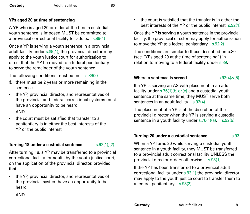## **YPs aged 20 at time of sentencing**

A YP who is aged 20 or older at the time a custodial youth sentence is imposed MUST be committed to a provincial correctional facility for adults. s.89(1)

Once a YP is serving a youth sentence in a provincial adult facility under s.89(1), the provincial director may apply to the youth justice court for authorization to direct that the YP be moved to a federal penitentiary to serve the remainder of the youth sentence.

The following conditions must be met s.89(2)

- $<sup>①</sup>$  there must be 2 years or more remaining in the</sup> sentence
- the YP, provincial director, and representatives of the provincial and federal correctional systems must have an opportunity to be heard

AND

• the court must be satisfied that transfer to a penitentiary is in either the best interests of the YP or the public interest

## **Turning 18 under a custodial sentence** s.92(1),(2)

After turning 18, a YP may be transferred to a provincial correctional facility for adults by the youth justice court, on the application of the provincial director, provided that

- the YP, provincial director, and representatives of the provincial system have an opportunity to be heard
	- AND

• the court is satisfied that the transfer is in either the best interests of the YP or the public interest s.92(1)

Once the YP is serving a youth sentence in the provincial facility, the provincial director may apply for authorization to move the YP to a federal penitentiary. s.92(2)

The conditions are similar to those described on p.80 (see "YPs aged 20 at the time of sentencing") in relation to moving to a federal facility under s.89.

#### **Where a sentence is served** s.92(4)&(5)

If a YP is serving an AS with placement in an adult facility under  $s.76(1)(b)$  or (c) and a custodial youth sentence at the same time, they MUST serve both sentences in an adult facility. s.92(4)

The placement of a YP is at the discretion of the provincial director when the YP is serving a custodial sentence in a youth facility under s.76(1)(a). s.92(5)

#### **Turning 20 under a custodial sentence** s.93

When a YP turns 20 while serving a custodial youth sentence in a youth facility, they MUST be transferred to a provincial adult correctional facility UNLESS the provincial director orders otherwise. s.93(1)

If the YP has been transferred to a provincial adult correctional facility under s.93(1) the provincial director may apply to the youth justice court to transfer them to a federal penitentiary. s.93(2)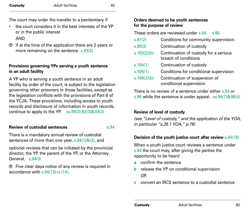The court may order the transfer to a penitentiary if

• the court considers it in the best interests of the YP or in the public interest

## AND

 $\Theta$  if at the time of the application there are 2 years or more remaining on the sentence s.93(2)

#### **Provisions governing YPs serving a youth sentence in an adult facility**

A YP who is serving a youth sentence in an adult facility by order of the court, is subject to the legislation governing other prisoners in those facilities, except as the legislation conflicts with the provisions of Part 6 of the YCJA. These provisions, including access to youth records and disclosure of information in youth records, continue to apply to the YP. ss.89(3),92(3)&93(3)

#### **Review of custodial sentences** s.94

There is a mandatory annual review of custodial sentences of more than one year, s.94(1)&(2), and

optional reviews that can be initiated by the provincial director, the YP, the parent of the YP, or the Attorney General. s.94(3)

Five clear days notice of any review is required in accordance with s.94(13)or(14).

## **Orders deemed to be youth sentences for the purpose of review**

These orders are reviewed under s.94. s.95

| s.97(2)     | Conditions for community supervision                          |
|-------------|---------------------------------------------------------------|
| s.98(3)     | Continuation of custody                                       |
| s.103(2)(b) | Continuation of custody for a serious<br>breach of conditions |
| s.104(1)    | Continuation of custody                                       |
| s.105(1)    | Conditions for conditional supervision                        |
| s.109(2)(b) | Continuation of suspension of<br>conditional supervision      |

There is no review of a sentence under either s.94 or s.96 while the sentence is under appeal. ss.94(7)&96(4)

## **Review of level of custody**

*(see "Level of custody," and the application of the YOA, in particular "s.28.1 YOA," p.78)* 

## **Decision of the youth justice court after review** s.94(19)

When a youth justice court reviews a sentence under s.94 the court may, after giving the parties the opportunity to be heard

- **a** confirm the sentence
- **b** release the YP on conditional supervision OR
- **c** convert an IRCS sentence to a custodial sentence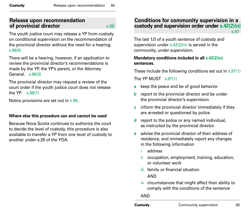## **Release upon recommendation of provincial director** s.96

The youth justice court may release a YP from custody on conditional supervision on the recommendation of the provincial director without the need for a hearing. s.96(5)

There will be a hearing, however, if an application to review the provincial director's recommendations is made by the YP, the YP's parent, or the Attorney General. s.96(3)

The provincial director may request a review of the court order if the youth justice court does not release the YP. s.96(7)

Notice provisions are set out in s.96.

## **Where else this procedure can and cannot be used**

Because Nova Scotia continues to authorize the court to decide the level of custody, this procedure is also available to transfer a YP from one level of custody to another under s.29 of the YOA.

## **Conditions for community supervision in a custody and supervision order under s.42(2)(n)** s.97<sup>8</sup> **s.97**

The last 1/3 of a youth sentence of custody and supervision under  $s.42(2)(n)$  is served in the community, under supervision.

## **Mandatory conditions included in all s.42(2)(n) sentences.**

These include the following conditions set out in s.97(1)

The YP MUST s.97(1)

- **a** keep the peace and be of good behavior
- **b** report to the provincial director and be under the provincial director's supervision
- **c** inform the provincial director immediately if they are arrested or questioned by police
- **d** report to the police or any named individual, as instructed by the provincial director
- **e** advise the provincial director of their address of residence, and immediately report any changes in the following information
	- i address
	- ii occupation, employment, training, education, or volunteer work
	- iii family or financial situation AND
	- iv circumstances that might affect their ability to comply with the conditions of the sentence

AND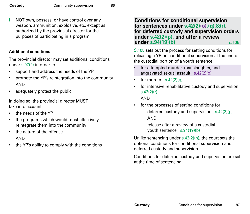**f** NOT own, possess, or have control over any weapon, ammunition, explosive, etc. except as authorized by the provincial director for the purposes of participating in a program

#### **Additional conditions**

The provincial director may set additional conditions under s.97(2) in order to

- support and address the needs of the YP
- promote the YP's reintegration into the community AND
- adequately protect the public

In doing so, the provincial director MUST take into account

- the needs of the YP
- the programs which would most effectively reintegrate them into the community
- the nature of the offence AND
- the YP's ability to comply with the conditions

**Conditions for conditional supervision for sentences under s.42(2)(o),(q),&(r), for deferred custody and supervision orders under s.42(2)(p), and after a review under s.94(19)(b)** s.105

S.105 sets out the process for setting conditions for releasing a YP on conditional supervision at the end of the custodial portion of a youth sentence

- for attempted murder, manslaughter, and aggravated sexual assault s.42(2)(o)
- for murder  $s.42(2)(q)$
- for intensive rehabilitative custody and supervision s.42(2)(r)

AND

- for the processes of setting conditions for
	- deferred custody and supervision  $s.42(2)(p)$ AND
	- release after a review of a custodial youth sentence s.94(19)(b)

Unlike sentencing under  $s.42(2)(n)$ , the court sets the optional conditions for conditional supervision and deferred custody and supervision.

Conditions for deferred custody and supervision are set at the time of sentencing.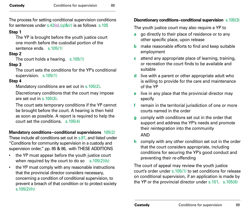The process for setting conditional supervision conditions for sentences under s.42(o),(q)&(r) is as follows s.105

#### **Step 1**

The YP is brought before the youth justice court one month before the custodial portion of the sentence ends. s.105(1)

## **Step 2**

The court holds a hearing. s.105(1)

## **Step 3**

The court sets the conditions for the YP's conditional supervision. s.105(1)

## **Step 4**

Mandatory conditions are set out in s.105(2).

Discretionary conditions that the court may impose are set out in  $s$   $105(3)$ .

The court sets temporary conditions if the YP cannot be brought before the court. A hearing is then held as soon as possible. A report is required to help the court set the conditions. s.105(4)

## **Mandatory conditions–conditional supervisions** 105(2)

These include all conditions set out in s.97, and listed under "Conditions for community supervision in a custody and supervision order," pp. 85 & 86, with THESE ADDITIONS

- the YP must appear before the youth justice court when required by the court to do so  $s.105(2)(b)$
- the YP must comply with any reasonable instructions that the provincial director considers necessary, concerning a condition of conditional supervision, to prevent a breach of that condition or to protect society s.105(2)(h)

## **Discretionary conditions–conditional supervision** s.105(3)

The youth justice court may also require a YP to

- **a** go directly to their place of residence or to any other specific place, upon release
- **b** make reasonable efforts to find and keep suitable employment
- **c** attend any appropriate place of learning, training, or recreation the court finds to be available and suitable
- **d** live with a parent or other appropriate adult who is willing to provide for the care and maintenance of the YP
- **e** live in any place that the provincial director may specify
- **f** remain in the territorial jurisdiction of one or more courts named in the order
- **g** comply with conditions set out in the order that support and address the YP's needs and promote their reintegration into the community AND
- **h** comply with any other condition set out in the order that the court considers appropriate, including conditions for securing the YP's good conduct and preventing their re-offending

The court of appeal may review the youth justice court's order under s.105(1) to set conditions for release on conditional supervision, if an application is made by the YP or the provincial director under s.101. s.105(8)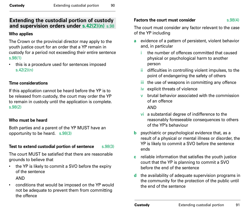## **Extending the custodial portion of custody and supervision orders under s.42(2)(n)** s.98

#### **Who applies**

The Crown or the provincial director may apply to the youth justice court for an order that a YP remain in custody for a period not exceeding their entire sentence s.98(1)

this is a procedure used for sentences imposed s.42(2)(n)

## **Time considerations**

If this application cannot be heard before the YP is to be released from custody, the court may order the YP to remain in custody until the application is complete. s.98(2)

## **Who must be heard**

Both parties and a parent of the YP MUST have an opportunity to be heard. s.98(3)

## **Test to extend custodial portion of sentence** s.98(3)

The court MUST be satisfied that there are reasonable grounds to believe that

• the YP is likely to commit a SVO before the expiry of the sentence

AND

• conditions that would be imposed on the YP would not be adequate to prevent them from committing the offence

## **Factors the court must consider** s.98(4)

The court must consider any factor relevant to the case of the YP including

- **a** evidence of a pattern of persistent, violent behavior and, in particular
	- i the number of offences committed that caused physical or psychological harm to another person
	- ii difficulties in controlling violent impulses, to the point of endangering the safety of others
	- iii the use of weapons in committing any offence
	- iv explicit threats of violence
	- v brutal behavior associated with the commission of an offence

AND

- vi a substantial degree of indifference to the reasonably foreseeable consequences to others of the YP's behaviour
- **b** psychiatric or psychological evidence that, as a result of a physical or mental illness or disorder, the YP is likely to commit a SVO before the sentence ends
- **c** reliable information that satisfies the youth justice court that the YP is planning to commit a SVO before the end of the sentence
- **d** the availability of adequate supervision programs in the community for the protection of the public until the end of the sentence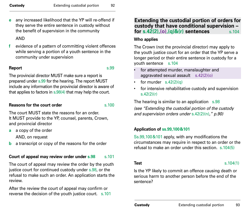**e** any increased likelihood that the YP will re-offend if they serve the entire sentence in custody without the benefit of supervision in the community

## AND

**f** evidence of a pattern of committing violent offences while serving a portion of a youth sentence in the community under supervision

## **Report** s.99

The provincial director MUST make sure a report is prepared under s.99 for the hearing. The report MUST include any information the provincial director is aware of that applies to factors in s.98(4) that may help the court.

## **Reasons for the court order**  s.100

The court MUST state the reasons for an order. It MUST provide to the YP, counsel, parents, Crown, and provincial director

- **a** a copy of the order AND, on request
- **b** a transcript or copy of the reasons for the order

## **Court of appeal may review order under s.98** s.101

The court of appeal may review the order by the youth justice court for continued custody under s.98, or the refusal to make such an order. An application starts the review.

After the review the court of appeal may confirm or reverse the decision of the youth justice court. s.101

## **Extending the custodial portion of orders for custody that have conditional supervision – for s.42(2),(0),(q)&(r) sentences** s.104

## **Who applies**

The Crown (not the provincial director) may apply to the youth justice court for an order that the YP serve a longer period or their entire sentence in custody for a youth sentence s.104

- for attempted murder, manslaughter and aggravated sexual assault  $s.42(2)(o)$
- for murder  $s.42(2)(q)$
- for intensive rehabilitative custody and supervision s.42(2)(r)

The hearing is similar to an application s.98 *(see "Extending the custodial portion of the custody and supervision orders under* s.42(2)(n)*," p.90)* 

## **Application of ss.99,100&101**

Ss.99,100&101 apply, with any modifications the circumstances may require in respect to an order or the refusal to make an order under this section. s.104(5)

**Test** s.104(1)

Is the YP likely to commit an offence causing death or serious harm to another person before the end of the sentence?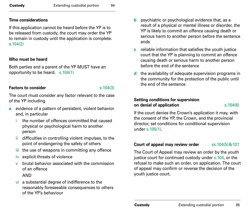#### **Time considerations**

If this application cannot be heard before the YP is to be released from custody, the court may order the YP to remain in custody until the application is complete. s.104(2)

## **Who must be heard**

Both parties and a parent of the YP MUST have an opportunity to be heard. s.104(1)

## **Factors to consider** s.104(3)

The court must consider any factor relevant to the case of the YP including

- **a** evidence of a pattern of persistent, violent behavior and, in particular
	- i the number of offences committed that caused physical or psychological harm to another person
	- difficulties in controlling violent impulses, to the point of endangering the safety of others
	- iii the use of weapons in committing any offence
	- iv explicit threats of violence
	- v brutal behavior associated with the commission of an offence

## AND

vi a substantial degree of indifference to the reasonably foreseeable consequences to others of the YP's behaviour

- **b** psychiatric or psychological evidence that, as a result of a physical or mental illness or disorder, the YP is likely to commit an offence causing death or serious harm to another person before the sentence ends
- **c** reliable information that satisfies the youth justice court that the YP is planning to commit an offence causing death or serious harm to another person before the end of the sentence
- **d** the availability of adequate supervision programs in the community for the protection of the public until the end of the sentence

## **Setting conditions for supervision on denial of application** s.104(6)

If the court denies the Crown's application it may, with the consent of the YP, the Crown, and the provincial director, set conditions for conditional supervision under s.105(1).

## **Court of appeal may review order** ss.104(5) & 101

The Court of Appeal may review an order by the youth justice court for continued custody under s.104, or the refusal to make such an order, on application. The court of appeal may confirm or reverse the decision of the youth justice court.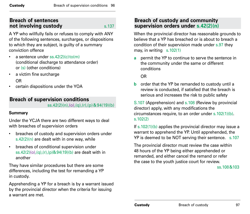## **Breach of sentences not involving custody s**.137

A YP who willfully fails or refuses to comply with ANY of the following sentences, surcharges, or dispositions to which they are subject, is guilty of a summary conviction offence

- a sentence under  $ss.42(2)(c) \cdot \text{to} (m)$ (conditional discharge to attendance order) or (s) (other conditions)
- a victim fine surcharge OR
- certain dispositions under the YOA

## **Breach of supervision conditions** ss.42(2)(n),(o),(q),(r),(p)&94(19)(b)

## **Summary**

Under the YCJA there are two different ways to deal with breaches of supervision orders

- breaches of custody and supervision orders under s.42(2)(n) are dealt with in one way, while
- breaches of conditional supervision under ss.42(2)(o),(q),(r),(p)&94(19)(b) are dealt with in another

They have similar procedures but there are some differences, including the test for remanding a YP in custody.

Apprehending a YP for a breach is by a warrant issued by the provincial director when the criteria for issuing a warrant are met.

## **Breach of custody and community supervision orders under s.42(2)(n)**

When the provincial director has reasonable grounds to believe that a YP has breached or is about to breach a condition of their supervision made under s.97 they may, in writing  $s.102(1)$ 

**a** permit the YP to continue to serve the sentence in the community under the same or different conditions

OR

**b** order that the YP be remanded to custody until a review is conducted, if satisfied that the breach is serious and increases the risk to public safety

S.107 (Apprehension) and s.108 (Review by provincial director) apply, with any modifications the circumstances require, to an order under s.102(1)(b). s.102(2)

If  $s.102(1)(b)$  applies the provincial director may issue a warrant to apprehend the YP. Until apprehended, the YP is deemed to be NOT serving their sentence. s.107

The provincial director must review the case within 48 hours of the YP being either apprehended or remanded, and either cancel the remand or refer the case to the youth justice court for review.

ss.108&103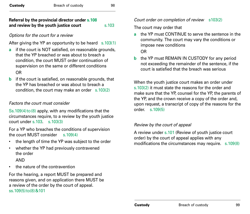## **Referral by the provincial director under s.108 and review by the youth justice court** s.103

## *Options for the court for a review*

After giving the YP an opportunity to be heard s.103(1)

- **a** if the court is NOT satisfied, on reasonable grounds, that the YP breached or was about to breach a condition, the court MUST order continuation of supervision on the same or different conditions OR
- **b** if the court is satisfied, on reasonable grounds, that the YP has breached or was about to breach a condition, the court may make an order s.103(2)

## *Factors the court must consider*

 $Ss.109(4)$  to (8) apply, with any modifications that the circumstances require, to a review by the youth justice court under s.103. s.103(3)

For a YP who breaches the conditions of supervision the court MUST consider s.109(4)

- the length of time the YP was subject to the order
- whether the YP had previously contravened the order

AND

• the nature of the contravention

For the hearing, a report MUST be prepared and reasons given, and on application there MUST be a review of the order by the court of appeal. ss.109(5)to(8)&101

## *Court order on completion of review* s103(2)

The court may order that

**a** the YP must CONTINUE to serve the sentence in the community. The court may vary the conditions or impose new conditions

OR

**b** the YP must REMAIN IN CUSTODY for any period not exceeding the remainder of the sentence, if the court is satisfied that the breach was serious

When the youth justice court makes an order under s.103(2) it must state the reasons for the order and make sure that the YP, counsel for the YP, the parents of the YP, and the crown receive a copy of the order and, upon request, a transcript of copy of the reasons for the order. s.109(5)

## *Review by the court of appeal*

A review under s.101 (Review of youth justice court order) by the court of appeal applies with any modifications the circumstances may require. s.109(8)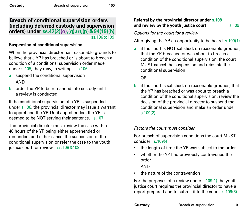## **Breach of conditional supervision orders (including deferred custody and supervision orders) under ss.42(2)(o),(q),(r),(p)&94(19)(b)** ss.106to109

#### **Suspension of conditional supervision**

When the provincial director has reasonable grounds to believe that a YP has breached or is about to breach a condition of a conditional supervision order made under s.105, they may, in writing  $s.106$ 

- **a** suspend the conditional supervision AND
- **b** order the YP to be remanded into custody until a review is conducted

If the conditional supervision of a YP is suspended under s.106, the provincial director may issue a warrant to apprehend the YP. Until apprehended, the YP is deemed to be NOT serving their sentence. s.107

The provincial director must review the case within 48 hours of the YP being either apprehended or remanded, and either cancel the suspension of the conditional supervision or refer the case to the youth justice court for review. ss.108&109

#### **Referral by the provincial director under s.108 and review by the youth justice court** s.109

*Options for the court for a review*

After giving the YP an opportunity to be heard s.109(1)

**a** if the court is NOT satisfied, on reasonable grounds. that the YP breached or was about to breach a condition of the conditional supervision, the court MUST cancel the suspension and reinstate the conditional supervision

OR

**b** if the court is satisfied, on reasonable grounds, that the YP has breached or was about to breach a condition of the conditional supervision, review the decision of the provincial director to suspend the conditional supervision and make an order under s.109(2)

#### *Factors the court must consider*

For breach of supervision conditions the court MUST consider  $s$  109(4)

- the length of time the YP was subject to the order
- whether the YP had previously contravened the order

AND

• the nature of the contravention

For the purposes of a review under s.109(1) the youth justice court requires the provincial director to have a report prepared and to submit it to the court. s.109(6)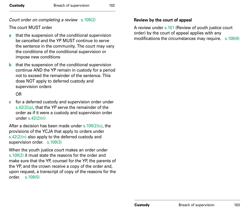## *Court order on completing a review* s.109(2)

The court MUST order

- **a** that the suspension of the conditional supervision be cancelled and the YP MUST continue to serve the sentence in the community. The court may vary the conditions of the conditional supervision or impose new conditions
- **b** that the suspension of the conditional supervision continue AND the YP remain in custody for a period not to exceed the remainder of the sentence. This does NOT apply to deferred custody and supervision orders

OR

**c** for a deferred custody and supervision order under s.42(2)( $p$ ), that the YP serve the remainder of the order as if it were a custody and supervision order under s.42(2)(n)

After a decision has been made under s.109(2)(c), the provisions of the YCJA that apply to orders under s.42(2)(n) also apply to the deferred custody and supervision order. s.109(3)

When the youth justice court makes an order under s.109(2) it must state the reasons for the order and make sure that the YP, counsel for the YP, the parents of the YP, and the crown receive a copy of the order and, upon request, a transcript of copy of the reasons for the order. s.109(5)

#### **Review by the court of appeal**

A review under s.101 (Review of youth justice court order) by the court of appeal applies with any modifications the circumstances may require. s.109(8)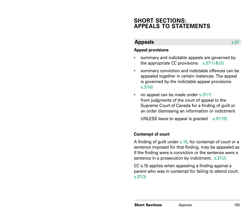# **SHORT SECTIONS: APPEALS TO STATEMENTS**

## **Appeals** s.37

#### **Appeal provisions**

- summary and indictable appeals are governed by the appropriate CC provisions  $s.37(1)$ & $(5)$
- summary conviction and indictable offences can be appealed together in certain instances. The appeal is governed by the indictable appeal provisions s.37(6)
- no appeal can be made under  $s.37(1)$ from judgments of the court of appeal to the Supreme Court of Canada for a finding of guilt or an order dismissing an information or indictment

UNLESS leave to appeal is granted s.37(10)

#### **Contempt of court**

A finding of guilt under s.15, for contempt of court or a sentence imposed for that finding, may be appealed as if the finding were a conviction or the sentence were a sentence in a prosecution by indictment. s.37(2)

CC s.10 applies when appealing a finding against a parent who was in contempt for failing to attend court. s.37(3)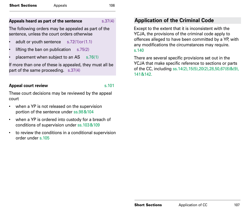#### **Appeals heard as part of the sentence** s.37(4)

The following orders may be appealed as part of the sentence, unless the court orders otherwise

- adult or youth sentence s.72(1)or(1.1)
- lifting the ban on publication  $s.75(2)$
- placement when subject to an  $AS = s.76(1)$

If more than one of these is appealed, they must all be part of the same proceeding. s.37(4)

## **Appeal court review**  s.101

These court decisions may be reviewed by the appeal court

- when a YP is not released on the supervision portion of the sentence under ss.98&104
- when a YP is ordered into custody for a breach of conditions of supervision under ss.103&109
- to review the conditions in a conditional supervision order under s.105

# **Application of the Criminal Code**

Except to the extent that it is inconsistent with the YCJA, the provisions of the criminal code apply to offences alleged to have been committed by a YP, with any modifications the circumstances may require. s.140

There are several specific provisions set out in the YCJA that make specific reference to sections or parts of the CC, including ss.14(2),15(5),20(2),28,50,67(8)&(9), 141&142.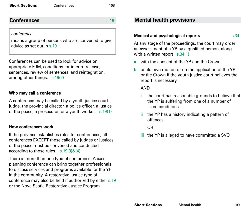#### Short Sections Conferences 108

## **Conferences** s.19

#### *conference*

means a group of persons who are convened to give advice as set out in s.19

Conferences can be used to look for advice on appropriate EJM, conditions for interim release, sentences, review of sentences, and reintegration, among other things. s.19(2)

#### **Who may call a conference**

A conference may be called by a youth justice court judge, the provincial director, a police officer, a justice of the peace, a prosecutor, or a youth worker. s.19(1)

#### **How conferences work**

If the province establishes rules for conferences, all conferences EXCEPT those called by judges or justices of the peace must be convened and conducted according to those rules. s.19(3)&(4)

There is more than one type of conference. A caseplanning conference can bring together professionals to discuss services and programs available for the YP in the community. A restorative justice type of conference may also be held if authorized by either s.19 or the Nova Scotia Restorative Justice Program.

## **Mental health provisions**

## **Medical and psychological reports** s.34

At any stage of the proceedings, the court may order an assessment of a YP by a qualified person, along with a written report s.34(1)

- **a** with the consent of the YP and the Crown
- **b** on its own motion or on the application of the YP or the Crown if the youth justice court believes the report is necessary

#### AND

- the court has reasonable grounds to believe that the YP is suffering from one of a number of listed conditions
- ii the YP has a history indicating a pattern of offences

OR

iii the YP is alleged to have committed a SVO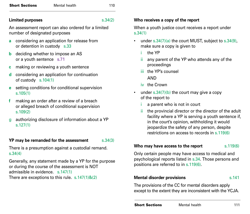#### **Limited purposes** s.34(2)

An assessment report can also ordered for a limited number of designated purposes

- **a** considering an application for release from or detention in custody s.33
- **b** deciding whether to impose an AS or a youth sentence s.71
- **c** making or reviewing a youth sentence
- **d** considering an application for continuation of custody s.104(1)
- **e** setting conditions for conditional supervision s.105(1)
- **f** making an order after a review of a breach or alleged breach of conditional supervision s.109(2)
- g authorizing disclosure of information about a YP s.127(1)

## **YP may be remanded for the assessment** s.34(3)

There is a presumption against a custodial remand. s.34(4)

Generally, any statement made by a YP for the purpose or during the course of the assessment is NOT admissible in evidence. s.147(1) There are exceptions to this rule.  $s.147(1)8(2)$ 

#### **Who receives a copy of the report**

When a youth justice court receives a report under s.34(1)

- under  $s.34(7)(a)$  the court MUST, subject to  $s.34(9)$ , make sure a copy is given to
	- i the YP
	- ii any parent of the YP who attends any of the proceedings
	- iii the YP's counsel
		- AND
	- iv the Crown
- under  $s.34(7)(b)$  the court may give a copy of the report to
	- i a parent who is not in court
	- ii the provincial director or the director of the adult facility where a YP is serving a youth sentence if, in the court's opinion, withholding it would jeopardize the safety of any person, despite restrictions on access to records in s.119(6)

#### **Who may have access to the report** s.119(6)

Only certain people may have access to medical and psychological reports listed in s.34. Those persons and positions are referred to in s.119(6).

## **Mental disorder provisions s.141**

The provisions of the CC for mental disorders apply except to the extent they are inconsistent with the YCJA.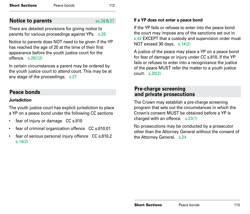## **Notice to parents** ss.26&27

There are detailed provisions for giving notice to parents for various proceedings against YPs. s.26

Notice to parents does NOT need to be given if the YP has reached the age of 20 at the time of their first appearance before the youth justice court for the offence. s.26(12)

In certain circumstances a parent may be ordered by the youth justice court to attend court. This may be at any stage of the proceedings. s.27

## **Peace bonds**

## **Jurisdiction**

The youth justice court has explicit jurisdiction to place a YP on a peace bond under the following CC sections

- fear of injury or damage CC s.810
- fear of criminal organization offence CC s.810.01
- fear of serious personal injury offence CC s.810.2 s.14(2)

## **If a YP does not enter a peace bond**

If the YP fails or refuses to enter into the peace bond the court may impose any of the sanctions set out in s.42 EXCEPT that a custody and supervision order must NOT exceed 30 days. s.14(2)

A justice of the peace may place a YP on a peace bond for fear of damage or injury under CC s.810. If the YP fails or refuses to enter into a recognizance the justice of the peace MUST refer the matter to a youth justice court. s.20(2)

## **Pre-charge screening and private prosecutions**

The Crown may establish a pre-charge screening program that sets out the circumstances in which the Crown's consent MUST be obtained before a YP is charged with an offence. s.23(1)

No prosecutions may be conducted by a prosecutor other than the Attorney General without the consent of the Attorney General. s.24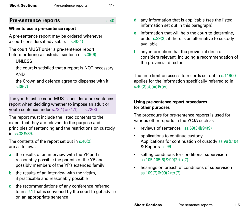| <b>Short Sections</b> | Pre-sentence reports | 114 |
|-----------------------|----------------------|-----|
|                       |                      |     |

## **Pre-sentence reports** s.40

#### **When to use a pre-sentence report**

A pre-sentence report may be ordered whenever a court considers it advisable. s.40(1)

The court MUST order a pre-sentence report before ordering a custodial sentence s.39(6)

## UNLESS

the court is satisfied that a report is NOT necessary AND

the Crown and defence agree to dispense with it s.39(7)

The youth justice court MUST consider a pre-sentence report when deciding whether to impose an adult or youth sentence under s.72(1)or(1.1). s.72(3)

The report must include the listed contents to the extent that they are relevant to the purpose and principles of sentencing and the restrictions on custody in ss.38&39.

The contents of the report set out in s.40(2) are as follows

- **a** the results of an interview with the YP and if reasonably possible the parents of the YP and possibly members of the YP's extended family
- **b** the results of an interview with the victim, if practicable and reasonably possible
- **c** the recommendations of any conference referred to in s.41 that is convened by the court to get advice on an appropriate sentence
- **d** any information that is applicable (see the listed information set out in this paragraph)
- **e** information that will help the court to determine, under s.39(2), if there is an alternative to custody available
- **f** any information that the provincial director considers relevant, including a recommendation of the provincial director

The time limit on access to records set out in s.119(2) applies for the information specifically referred to in  $s.40(2)(d)(iii) & (iv).$ 

## **Using pre-sentence report procedures for other purposes**

The procedure for pre-sentence reports is used for various other reports in the YCJA such as

- reviews of sentences ss.59(3)&94(9)
- applications to continue custody Applications for continuation of custody ss.98&104 & Reports s.99
- setting conditions for conditional supervision ss.105,105(6)&99(2)to(7)
- hearings on breach of conditions of supervision ss.109(7)&99(2)to(7)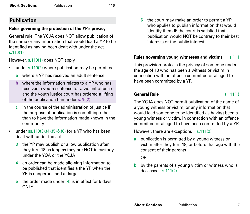## **Publication**

## **Rules governing the protection of the YP's privacy**

General rule: The YCJA does NOT allow publication of the name or any information that would lead a YP to be identified as having been dealt with under the act. s.110(1)

However, s.110(1) does NOT apply

- under  $s.110(2)$  where publication may be permitted
	- **a** where a YP has received an adult sentence
	- **b** where the information relates to a YP who has received a youth sentence for a violent offence and the youth justice court has ordered a lifting of the publication ban under s.75(2)
	- **c** in the course of the administration of justice IF the purpose of publication is something other than to have the information made known in the community
- under ss.110(3),(4),(5)&(6) for a YP who has been dealt with under the act
	- **3** the YP may publish or allow publication after they turn 18 as long as they are NOT in custody under the YOA or the YCJA
	- **4** an order can be made allowing information to be published that identifies a the YP when the YP is dangerous and at large
	- **5** the order made under (4) is in effect for 5 days ONLY

**6** the court may make an order to permit a YP who applies to publish information that would identify them IF the court is satisfied that publication would NOT be contrary to their best interests or the public interest

## **Rules governing young witnesses and victims** s.111

This provision protects the privacy of someone under the age of 18 who has been a witness or victim in connection with an offence committed or alleged to have been committed by a YP.

## General Rule<br>
S.111(1)

The YCJA does NOT permit publication of the name of a young witness or victim, or any information that would lead someone to be identified as having been a young witness or victim, in connection with an offence committed or alleged to have been committed by a YP.

However, there are exceptions s.111(2)

**a** publication is permitted by a young witness or victim after they turn 18, or before that age with the consent of their parents

OR

**b** by the parents of a young victim or witness who is deceased s.111(2)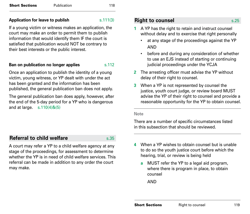#### **Application for leave to publish** s.111(3)

If a young victim or witness makes an application, the court may make an order to permit them to publish information that would identify them IF the court is satisfied that publication would NOT be contrary to their best interests or the public interest.

#### **Ban on publication no longer applies** s.112

Once an application to publish the identity of a young victim, young witness, or YP dealt with under the act has been granted and the information has been published, the general publication ban does not apply.

The general publication ban does apply, however, after the end of the 5-day period for a YP who is dangerous and at large. s.110(4)&(5)

## **Right to counsel Right to counsel**

- **1** A YP has the right to retain and instruct counsel without delay and to exercise that right personally
	- at any stage of the proceedings against the YP AND
	- before and during any consideration of whether to use an EJS instead of starting or continuing judicial proceedings under the YCJA
- **2** The arresting officer must advise the YP without delay of their right to counsel.
- **3** When a YP is not represented by counsel the justice, youth court judge, or review board MUST advise the YP of their right to counsel and provide a reasonable opportunity for the YP to obtain counsel.

#### **Note**

There are a number of specific circumstances listed in this subsection that should be reviewed.

## **Referral to child welfare s**.35

A court may refer a YP to a child welfare agency at any stage of the proceedings, for assessment to determine whether the YP is in need of child welfare services. This referral can be made in addition to any order the court may make.

- **4** When a YP wishes to obtain counsel but is unable to do so the youth justice court before which the hearing, trial, or review is being held
	- **a** MUST refer the YP to a legal aid program, where there is program in place, to obtain counsel

AND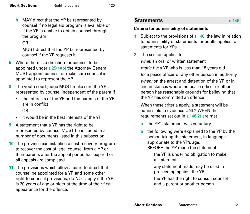**b** MAY direct that the YP be represented by counsel if no legal aid program is available or if the YP is unable to obtain counsel through the program

## OR

MUST direct that the YP be represented by counsel if the YP requests it

- **5** Where there is a direction for counsel to be appointed under s.25(4)(b) the Attorney General MUST appoint counsel or make sure counsel is appointed to represent the YP.
- **8** The youth court judge MUST make sure the YP is represented by counsel independent of the parent if
	- the interests of the YP and the parents of the YP are in conflict

## OR

- it would be in the best interests of the YP
- **9** A statement that a YP has the right to be represented by counsel MUST be included in a number of documents listed in this subsection.
- **10** The province can establish a cost-recovery program to recover the cost of legal counsel from a YP or their parents after the appeal period has expired or all appeals are completed.
- **11** The provisions which allow a court to direct that counsel be appointed for a YP, and some other right-to-counsel provisions, do NOT apply if the YP is 20 years of age or older at the time of their first appearance for the offence.

## **Statements** s.146

#### **Criteria for admissibility of statements**

- **1** Subject to the provisions of s.146, the law in relation to admissibility of statements for adults applies to statements for YPs.
- **2** The section applies to

*what:* an oral or written statement

*made by:* a YP who is less than 18 years old

*to:* a peace officer or any other person in authority *when:* on the arrest and detention of the YP, or in circumstances where the peace officer or other person has reasonable grounds for believing that the YP has committed an offence

When these criteria apply, a statement will be admissible in evidence ONLY WHEN the requirements set out in s.146(2) are met

- **a** the YP's statement was voluntary
- **b** the following were explained to the YP by the person taking the statement, in language appropriate to the YP's age, BEFORE the YP made the statement
	- the YP is under no obligation to make a statement
	- ii any statement made may be used in proceeding against the YP
	- iii the YP has the right to consult counsel and a parent or another person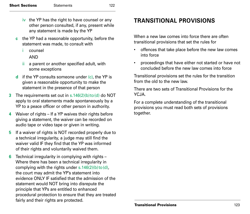- $iv$  the YP has the right to have counsel or any other person consulted, if any, present while any statement is made by the YP
- **c** the YP had a reasonable opportunity, before the statement was made, to consult with
	- i counsel
		- AND
	- ii a parent or another specified adult, with some exceptions
- **d** if the YP consults someone under (c), the YP is given a reasonable opportunity to make the statement in the presence of that person
- **3** The requirements set out in s.146(2)(b) to (d) do NOT apply to oral statements made spontaneously by a YP to a peace officer or other person in authority.
- **4** Waiver of rights If a YP waives their rights before giving a statement, the waiver can be recorded on audio tape or video tape or given in writing.
- **5** If a waiver of rights is NOT recorded properly due to a technical irregularity, a judge may still find the waiver valid IF they find that the YP was informed of their rights and voluntarily waived them.
- **6** Technical irregularity in complying with rights Where there has been a technical irregularity in complying with the rights under  $s.146(2)(b)$  to (d), the court may admit the YP's statement into evidence ONLY IF satisfied that the admission of the statement would NOT bring into disrepute the principle that YPs are entitled to enhanced procedural protection to ensure that they are treated fairly and their rights are protected.

# **TRANSITIONAL PROVISIONS**

When a new law comes into force there are often transitional provisions that set the rules for

- offences that take place before the new law comes into force
- proceedings that have either not started or have not concluded before the new law comes into force

Transitional provisions set the rules for the transition from the old to the new law.

There are two sets of Transitional Provisions for the YC.IA

For a complete understanding of the transitional provisions you must read both sets of provisions together.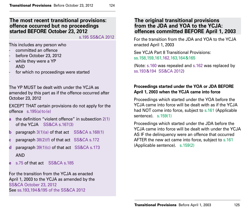## **The most recent transitional provisions: offence occurred but no proceedings started BEFORE October 23, 2012**

s.195 SS&CA 2012

This includes any person who

- committed an offence
- before October 23, 2012
- while they were a YP AND
- for which no proceedings were started

The YP MUST be dealt with under the YCJA as amended by this part as if the offence occurred after October 23, 2012

EXCEPT THAT certain provisions do not apply for the offence s.195(a)to(e)

- **a** the definition "violent offence" in subsection 2(1) of the YCJA SS&CA s.167(3)
- **b** paragraph 3(1)(a) of that act SS&CA s.168(1)
- **c** paragraph 38(2)(f) of that act SS&CA s.172
- **d** paragraph 39(1)(c) of that act SS&CA s.173 AND
- **e** s.75 of that act SS&CA s.185

For the transition from the YCJA as enacted April 1, 2003 to the YCJA as amended by the SS&CA October 23, 2012 See ss.193,194&195 of the SS&CA 2012

## **The original transitional provisions from the JDA and YOA to the YCJA: offences committed BEFORE April 1, 2003**

For the transition from the JDA and YOA to the YCJA enacted April 1, 2003

See YCJA Part 8 Transitional Provisions: ss.158,159,161,162,163,164&165

(Note: s.160 was repealed and s.162 was replaced by ss.193&194 SS&CA 2012)

## **Proceedings started under the YOA or JDA BEFORE April 1, 2003 when the YCJA came into force**

Proceedings which started under the YOA before the YCJA came into force will be dealt with as if the YCJA had NOT come into force, subject to s.161 (Applicable sentence). s.159(1)

Proceedings which started under the JDA before the YCJA came into force will be dealt with under the YCJA AS IF the delinquency were an offence that occurred AFTER the new act came into force, subject to s.161 (Applicable sentence). s.159(2)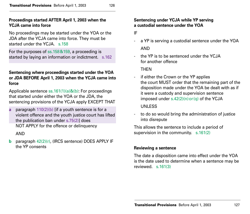#### **Proceedings started AFTER April 1, 2003 when the YCJA came into force**

No proceedings may be started under the YOA or the JDA after the YCJA came into force. They must be started under the YCJA s. 158

For the purposes of ss.158&159, a proceeding is started by laying an information or indictment. s.162

#### **Sentencing where proceedings started under the YOA or JDA BEFORE April 1, 2003 when the YCJA came into force**

Applicable sentence ss.161(1)(a)&(b): For proceedings that started under either the YOA or the JDA, the sentencing provisions of the YCJA apply EXCEPT THAT

**a** paragraph 110(2)(b) [if a youth sentence is for a violent offence and the youth justice court has lifted the publication ban under s.75(2)] does NOT APPLY for the offence or delinquency

AND

**b** paragraph 42(2)(r), (IRCS sentence) DOES APPLY IF the YP consents

#### **Sentencing under YCJA while YP serving a custodial sentence under the YOA**

IF

- a YP is serving a custodial sentence under the YOA AND
- the YP is to be sentenced under the YCJA for another offence

**THEN** 

- if either the Crown or the YP applies the court MUST order that the remaining part of the disposition made under the YOA be dealt with as if it were a custody and supervision sentence imposed under  $s.42(2)(n)$  or  $(q)$  of the YCJA UNLESS
- to do so would bring the administration of justice into disrepute

This allows the sentence to include a period of supervision in the community. s.161(2)

## **Reviewing a sentence**

The date a disposition came into effect under the YOA is the date used to determine when a sentence may be reviewed. s.161(3)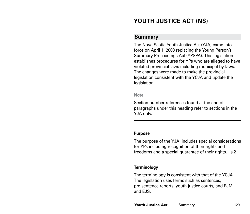# **YOUTH JUSTICE ACT (NS)**

## **Summary**

The Nova Scotia Youth Justice Act (YJA) came into force on April 1, 2003 replacing the Young Person's Summary Proceedings Act (YPSPA). This legislation establishes procedures for YPs who are alleged to have violated provincial laws including municipal by-laws. The changes were made to make the provincial legislation consistent with the YCJA and update the legislation.

#### **Note**

Section number references found at the end of paragraphs under this heading refer to sections in the YJA only.

#### **Purpose**

The purpose of the YJA includes special considerations for YPs including recognition of their rights and freedoms and a special guarantee of their rights. s.2

#### **Terminology**

The terminology is consistent with that of the YCJA. The legislation uses terms such as sentences, pre-sentence reports, youth justice courts, and EJM and EJS.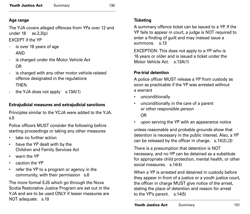## **Age range**

The YJA covers alleged offences from YPs over 12 and under 18 ss.2,3(p)

EXCEPT if the YP

- is over 16 years of age AND
- is charged under the Motor Vehicle Act OR
- is charged with any other motor vehicle-related offence designated in the regulations THEN
- the YJA does not apply s.13A(1)

## **Extrajudicial measures and extrajudicial sanctions**

Principles similar to the YCJA were added to the YJA. s.5

Police officers MUST consider the following before starting proceedings or taking any other measures

- take no further action
- have the YP dealt with by the Children and Family Services Act
- warn the YP
- caution the YP
- refer the YP to a program or agency in the community, with their permission s.6

The more formal EJS which go through the Nova Scotia Restorative Justice Program are set out in the YJA and are to be used ONLY if lesser measures are NOT adequate. s.10

## **Ticketing**

A summary offence ticket can be issued to a YP. If the YP fails to appear in court, a judge is NOT required to enter a finding of guilt and may instead issue a summons s.13

EXCEPTION: This does not apply to a YP who is 16 years or older and is issued a ticket under the Motor Vehicle Act. s. 13A(1)

## **Pre-trial detention**

A police officer MUST release a YP from custody as soon as practicable if the YP was arrested without a warrant

- unconditionally
- unconditionally in the care of a parent or other responsible person OR
- upon serving the YP with an appearance notice

unless reasonable and probable grounds show that detention is necessary in the public interest. Also, a YP can be released by the officer in charge. s.14(2),(3)

There is a presumption that detention is NOT necessary, and no YP can be detained as a substitute for appropriate child protection, mental health, or other social measures. s. 14(4)

When a YP is arrested and detained in custody before they appear in front of a justice or a youth justice court, the officer in charge MUST give notice of the arrest, stating the place of detention and reason for arrest to the YP's parent. s.14(5)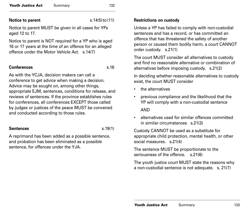**Youth Justice Act** Summary 132

**Notice to parent** s.14(5)to(11)

Notice to parent MUST be given in all cases for YPs aged 12 to 17.

Notice to parent is NOT required for a YP who is aged 16 or 17 years at the time of an offence for an alleged offence under the Motor Vehicle Act. s.14(7)

#### **Conferences** s.16

As with the YCJA, decision makers can call a conference to get advice when making a decision. Advice may be sought on, among other things, appropriate EJM, sentences, conditions for release, and reviews of sentences. If the province establishes rules for conferences, all conferences EXCEPT those called by judges or justices of the peace MUST be convened and conducted according to those rules.

#### **Sentences** s. 19(1)

A reprimand has been added as a possible sentence, and probation has been eliminated as a possible sentence, for offences under the YJA.

## **Restrictions on custody**

Unless a YP has failed to comply with non-custodial sentences and has a record, or has committed an offence that has threatened the safety of another person or caused them bodily harm, a court CANNOT order custody. s.21(1)

The court MUST consider all alternatives to custody and find no reasonable alternative or combination of alternatives before imposing custody. s.21(2)

In deciding whether reasonable alternatives to custody exist, the court MUST consider

- the alternatives
- previous compliance and the likelihood that the YP will comply with a non-custodial sentence AND
- alternatives used for similar offences committed in similar circumstances s.21(3)

Custody CANNOT be used as a substitute for appropriate child protection, mental health, or other social measures. s. 21(4)

The sentence MUST be proportionate to the seriousness of the offence. s.21(6)

The youth justice court MUST state the reasons why a non-custodial sentence is not adequate. s. 21(7)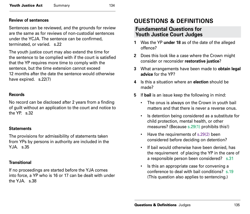#### **Review of sentences**

Sentences can be reviewed, and the grounds for review are the same as for reviews of non-custodial sentences under the YCJA. The sentence can be confirmed, terminated, or varied. s.22

The youth justice court may also extend the time for the sentence to be complied with if the court is satisfied that the YP requires more time to comply with the sentence, but the time extension cannot exceed 12 months after the date the sentence would otherwise have expired. s.22(7)

#### **Records**

No record can be disclosed after 2 years from a finding of guilt without an application to the court and notice to the YP. s.32

#### **Statements**

The provisions for admissibility of statements taken from YPs by persons in authority are included in the YJA. s.35

#### **Transitional**

If no proceedings are started before the YJA comes into force, a YP who is 16 or 17 can be dealt with under the YJA s.38

# **QUESTIONS & DEFINITIONS**

### **Fundamental Questions for Youth Justice Court Judges**

- **1** Was the YP **under 18** as of the date of the alleged offence?
- **2** Does this look like a case where the Crown might consider or reconsider **restorative justice**?
- **3** What arrangements have been made to **obtain legal advice** for the YP?
- **4** Is this a situation where an **election** should be made?
- **5** If **bail** is an issue keep the following in mind:
	- The onus is always on the Crown in youth bail matters and that there is never a reverse onus.
	- Is detention being considered as a substitute for child protection, mental health, or other measures? (Because s.29(1) prohibits this!)
	- Have the requirements of s.29(2) been considered before deciding on detention?
	- If bail would otherwise have been denied, has the requirement of placing the YP in the care of a responsible person been considered? s.31
	- Is this an appropriate case for convening a conference to deal with bail conditions? s.19 (This question also applies to sentencing.)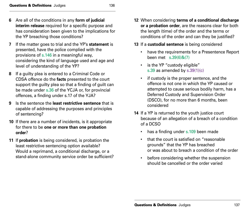- **7** If the matter goes to trial and the YP's **statement** is presented, have the police complied with the provisions of s.146 in a meaningful way, considering the kind of language used and age and level of understanding of the YP?
- **8** If a guilty plea is entered to a Criminal Code or CDSA offence do the **facts** presented to the court support the guilty plea so that a finding of guilt can be made under s.36 of the YCJA or, for provincial offences, a finding under s.17 of the YJA?
- **9** Is the sentence the **least restrictive sentence** that is capable of addressing the purposes and principles of sentencing?
- **10** If there are a number of incidents, is it appropriate for there to be **one or more than one probation order**?
- **11** If **probation** is being considered, is probation the least restrictive sentencing option available? Would a reprimand, a conditional discharge, or a stand-alone community service order be sufficient?

**12** When considering **terms of a conditional discharge or a probation order**, are the reasons clear for both the length (time) of the order and the terms or conditions of the order and can they be justified?

#### **13** If a **custodial sentence** is being considered

- have the requirements for a Presentence Report been met s.39(6)&(7)
- is the YP "custody eligible" s.39 as amended by s.39(1)(c)
- if custody is the proper sentence, and the offence is not one in which the YP caused or attempted to cause serious bodily harm, has a Deferred Custody and Supervision Order (DSCO), for no more than 6 months, been considered
- **14** If a YP is returned to the youth justice court because of an allegation of a breach of a condition of a DCSO
	- has a finding under s.109 been made
	- that the court is satisfied on "reasonable grounds" that the YP has breached or was about to breach a condition of the order
	- before considering whether the suspension should be cancelled or the order varied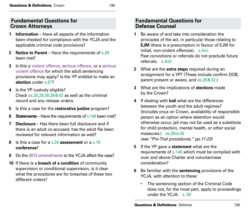### **Fundamental Questions for Crown Attorneys**

- **1 Information** Have all aspects of the information been checked for compliance with the YCJA and the applicable criminal code provisions?
- **2 Notice to Parent** Have the requirements of s.26 been met?
- **3** Is this a violent offence, serious offence, or a serious violent offence for which the adult sentencing provisions may apply? Is the YP entitled to make an **election** under s.67?
- **4** Is the YP custody eligible? Check ss.28,29,38,39&42 as well as the criminal record and any release orders.
- **5** Is this a case for the **restorative justice** program?
- **6 Statements** Have the requirements of s.146 been met?
- **7 Disclosure** Has there been full disclosure and if there is an adult co-accused, has the adult file been reviewed for relevant information as well?
- **8** Is this a case for a s.34 **assessment** or a s.19 **conference**?
- **9** Do the 2012 amendments to the YCJA affect the case?
- **10** If there is a **breach of a condition** of community supervision or conditional supervision, is it clear what the procedures are for breaches of these two different orders?

# **Fundamental Questions for Defense Counsel**

- **1** Be aware of and take into consideration the principles of the act, in particular those relating to **EJM** (there is a presumption in favour of EJM for initial, non-violent offences). s.4(c) Past convictions or referrals do not preclude future referrals s.4(d)
- **2** What are the **extra steps** required during an arraignment for a YP? (These include confirm DOB, parent present or aware, and ss.26&32.)
- **3** What are the implications of **elections** made by the Crown?
- **4** If dealing with **bail** what are the differences between the youth and the adult regimes? (Includes onus on Crown, availability of responsible person as an option where detention would otherwise occur, jail may not be used as a substitute for child protection, mental health, or other social measures.) ss.28to33 *(see "Pre-Trial procedures," pp.17-23)*
- **5** If the YP gave a **statement** what are the requirements of s.146 which must be complied with over and above Charter and voluntariness consideration?
- **6** Be familiar with the **sentencing** provisions of the YCJA, with attention to these:
	- The sentencing section of the Criminal Code does not, for the most part, apply to proceedings under the YCJA. s. 50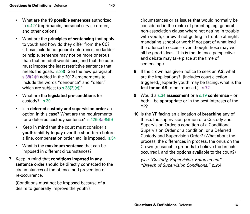- What are the **19 possible sentences** authorized in s.42? (reprimands, personal service orders, and other options)
- What are the **principles of sentencing** that apply to youth and how do they differ from the CC? (These include no general deterrence, no ladder principle, sentence may not be more onerous than that an adult would face, and that the court must impose the least restrictive sentence that meets the goals. s.38) (See the new paragraph s.38(2)(f) added in the 2012 amendments to include the words "denounce" and "deter," which are subject to  $s.38(2)(c)$ "
- What are the **legislated pre-conditions** for custody? s.39
- Is a **deferred custody and supervision order** an option in this case? What are the requirements for a deferred custody sentence? s.42(5)(a)&(b)
- Keep in mind that the court must consider a **youth's ability to pay** over the short term before a fine, compensation order, etc. is imposed. s.54
- What is the **maximum sentence** that can be imposed in different circumstances?
- **7** Keep in mind that **conditions imposed in any sentence order** should be directly connected to the circumstances of the offence and prevention of re-occurrence.

(Conditions must not be imposed because of a desire to generally improve the youth's

circumstances or as issues that would normally be considered in the realm of parenting, eg. general non-association clause where not getting in trouble with youth, curfew if not getting in trouble at night, mandating school or work if not part of what lead the offence to occur – even though those may well all be good ideas. This is the defence perspective and debate may take place at the time of sentencing.)

- **8** If the crown has given notice to seek an **AS,** what are the implications? (Includes court election triggered, jeopardy youth may be facing, what is the **test for an AS** to be imposed.) s.72
- **9** Would a s.34 **assessment** or a s.19 **conference**  or both – be appropriate or in the best interests of the YP?
- **10** Is the YP facing an allegation of **breaching** any of these: the supervision portion of a Custody and Supervision Order, a condition of a Conditional Supervision Order or a condition, or a Deferred Custody and Supervision Order? (What about the process, the differences in process, the onus on the Crown [reasonable grounds to believe the breach occurred], and the options available to the court?)

*(see "Custody, Supervision, Enforcement" – "Breach of Supervision Conditions," p.96)*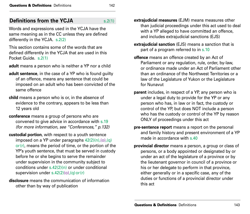## **Definitions from the YCJA** s.2(1)

Words and expressions used in the YCJA have the same meaning as in the CC unless they are defined differently in the YCJA. s.2(2)

This section contains some of the words that are defined differently in the YCJA that are used in this Pocket Guide. s.2(1)

**adult** means a person who is neither a YP nor a child

- **adult sentence**, in the case of a YP who is found guilty of an offence, means any sentence that could be imposed on an adult who has been convicted of the same offence
- **child** means a person who is or, in the absence of evidence to the contrary, appears to be less than 12 years old
- **conference** means a group of persons who are convened to give advice in accordance with s.19 *(for more information, see "Conferences," p.132)*
- **custodial portion**, with respect to a youth sentence imposed on a YP under paragraphs  $42(2)(n),(o),(q)$  $or(r)$ , means the period of time, or the portion of the YP's youth sentence, that must be served in custody before he or she begins to serve the remainder under supervision in the community subject to conditions under s.42(2)(n) or under conditional supervision under  $s.42(2)(o)$ , (q) or (r)
- **disclosure** means the communication of information other than by way of publication
- **extrajudicial measures** (EJM) means measures other than judicial proceedings under this act used to deal with a YP alleged to have committed an offence, and includes extrajudicial sanctions (EJS)
- **extrajudicial sanction** (EJS) means a sanction that is part of a program referred to in s.10
- **offence** means an offence created by an Act of Parliament or any regulation, rule, order, by-law, or ordinance made under an Act of Parliament other than an ordinance of the Northwest Territories or a law of the Legislature of Yukon or the Legislature for Nunavut
- **parent** includes, in respect of a YP, any person who is under a legal duty to provide for the YP or any person who has, in law or in fact, the custody or control of the YP, but does NOT include a person who has the custody or control of the YP by reason ONLY of proceedings under this act
- **pre-sentence report** means a report on the personal and family history and present environment of a YP made in accordance with s.40
- **provincial director** means a person, a group or class of persons, or a body appointed or designated by or under an act of the legislature of a province or by the lieutenant governor in council of a province or his or her delegate to perform in that province, either generally or in a specific case, any of the duties or functions of a provincial director under this act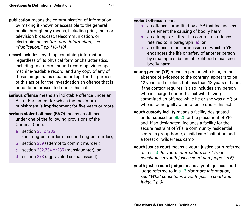**publication** means the communication of information by making it known or accessible to the general public through any means, including print, radio or television broadcast, telecommunication, or electronic means *(for more information, see "Publication," pp.116-118)* 

**record** includes any thing containing information, regardless of its physical form or characteristics, including microform, sound recording, videotape, machine-readable record, and any copy of any of those things that is created or kept for the purposes of this act or for the investigation an offence that is or could be prosecuted under this act

- **serious offence** means an indictable offence under an Act of Parliament for which the maximum punishment is imprisonment for five years or more
- **serious violent offence (SVO)** means an offence under one of the following provisions of the Criminal Code:
	- **a** section 231or235 (first degree murder or second degree murder);
	- **b** section 239 (attempt to commit murder);
	- **c** section 232,234,or236 (manslaughter); or
	- **d** section 273 (aggravated sexual assault).

#### **violent offence** means

- **a** an offence committed by a YP that includes as an element the causing of bodily harm;
- **b** an attempt or a threat to commit an offence referred to in paragraph (a); or
- **c** an offence in the commission of which a YP endangers the life or safety of another person by creating a substantial likelihood of causing bodily harm.
- **young person (YP)** means a person who is or, in the absence of evidence to the contrary, appears to be 12 years old or older, but less than 18 years old and, if the context requires, it also includes any person who is charged under this act with having committed an offence while he or she was a YP, or who is found guilty of an offence under this act
- **youth custody facility** means a facility designated under subsection  $85(2)$  for the placement of YPs and, if so designated, includes a facility for the secure restraint of YPs, a community residential centre, a group home, a child care institution and a forest or wilderness camp
- **youth justice court** means a youth justice court referred to in s.13 *(for more information, see "What constitutes a youth justice court and judge," p.6)*
- **youth justice court judge** means a youth justice court judge referred to in s.13 *(for more information, see "What constitutes a youth justice court and judge," p.6)*